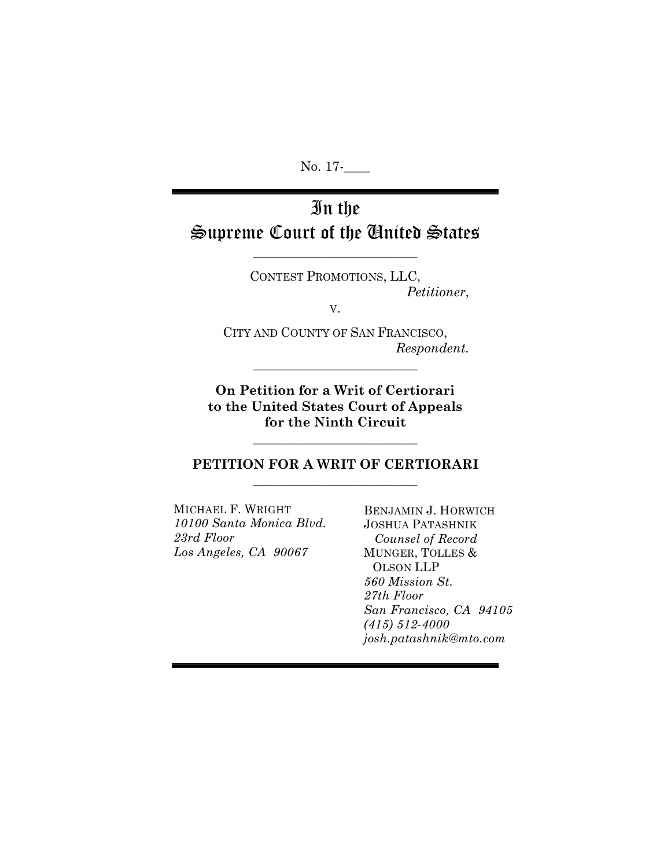No. 17-

# In the Supreme Court of the United States

\_\_\_\_\_\_\_\_\_\_\_\_\_\_\_\_\_\_\_\_\_\_\_\_\_

CONTEST PROMOTIONS, LLC, *Petitioner*,

V.

CITY AND COUNTY OF SAN FRANCISCO, *Respondent.*

**On Petition for a Writ of Certiorari to the United States Court of Appeals for the Ninth Circuit**

\_\_\_\_\_\_\_\_\_\_\_\_\_\_\_\_\_\_\_\_\_\_\_\_\_

\_\_\_\_\_\_\_\_\_\_\_\_\_\_\_\_\_\_\_\_\_\_\_\_\_

## **PETITION FOR A WRIT OF CERTIORARI** \_\_\_\_\_\_\_\_\_\_\_\_\_\_\_\_\_\_\_\_\_\_\_\_\_

MICHAEL F. WRIGHT *10100 Santa Monica Blvd. 23rd Floor Los Angeles, CA 90067*

BENJAMIN J. HORWICH JOSHUA PATASHNIK  *Counsel of Record* MUNGER, TOLLES & OLSON LLP *560 Mission St. 27th Floor San Francisco, CA 94105 (415) 512-4000 josh.patashnik@mto.com*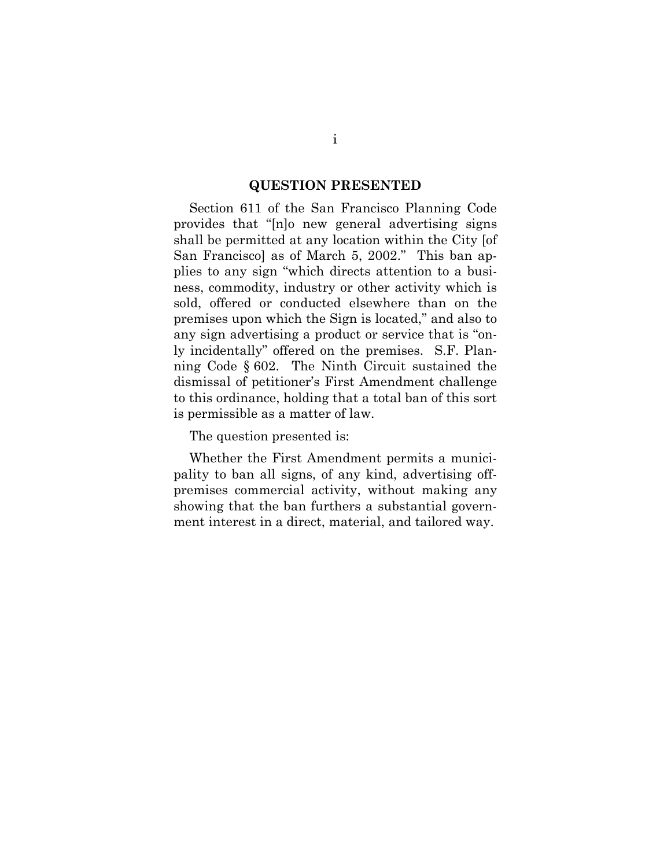#### **QUESTION PRESENTED**

Section 611 of the San Francisco Planning Code provides that "[n]o new general advertising signs shall be permitted at any location within the City [of San Francisco] as of March 5, 2002." This ban applies to any sign "which directs attention to a business, commodity, industry or other activity which is sold, offered or conducted elsewhere than on the premises upon which the Sign is located," and also to any sign advertising a product or service that is "only incidentally" offered on the premises. S.F. Planning Code § 602. The Ninth Circuit sustained the dismissal of petitioner's First Amendment challenge to this ordinance, holding that a total ban of this sort is permissible as a matter of law.

The question presented is:

Whether the First Amendment permits a municipality to ban all signs, of any kind, advertising offpremises commercial activity, without making any showing that the ban furthers a substantial government interest in a direct, material, and tailored way.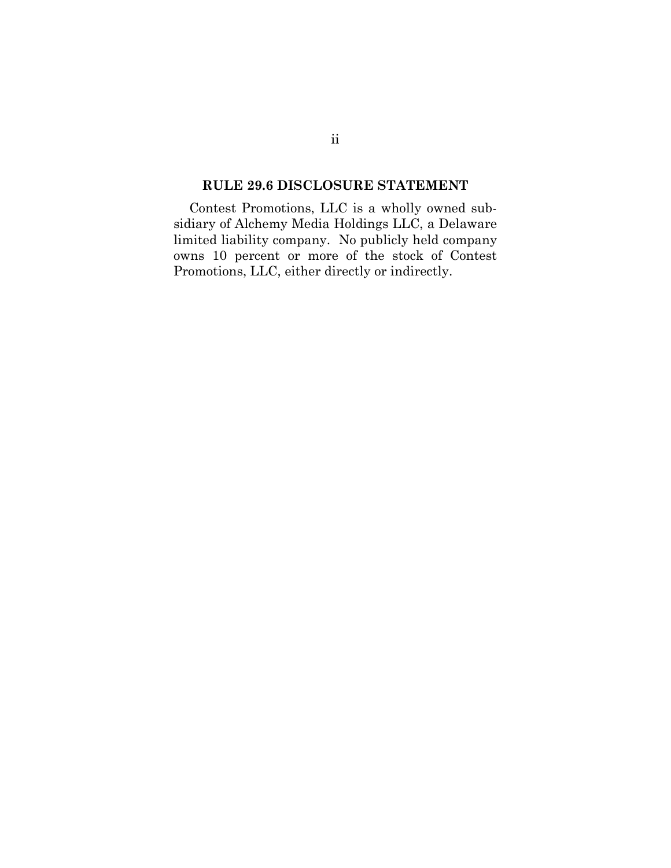#### **RULE 29.6 DISCLOSURE STATEMENT**

Contest Promotions, LLC is a wholly owned subsidiary of Alchemy Media Holdings LLC, a Delaware limited liability company. No publicly held company owns 10 percent or more of the stock of Contest Promotions, LLC, either directly or indirectly.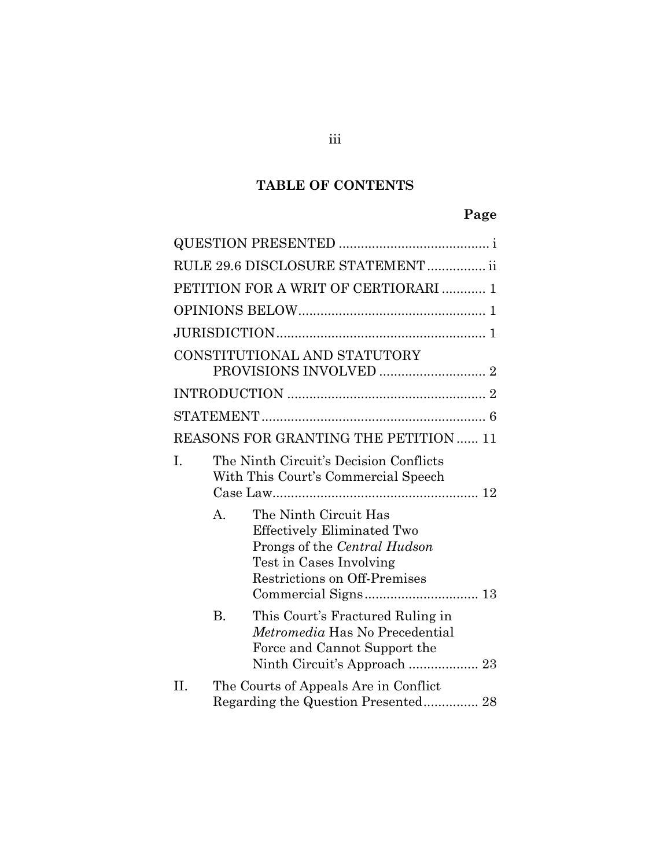# **TABLE OF CONTENTS**

# **Page**

|           | RULE 29.6 DISCLOSURE STATEMENT  ii                                                                                                                    |  |
|-----------|-------------------------------------------------------------------------------------------------------------------------------------------------------|--|
|           | PETITION FOR A WRIT OF CERTIORARI  1                                                                                                                  |  |
|           |                                                                                                                                                       |  |
|           |                                                                                                                                                       |  |
|           | CONSTITUTIONAL AND STATUTORY                                                                                                                          |  |
|           |                                                                                                                                                       |  |
|           |                                                                                                                                                       |  |
|           | REASONS FOR GRANTING THE PETITION  11                                                                                                                 |  |
| I.        | The Ninth Circuit's Decision Conflicts<br>With This Court's Commercial Speech                                                                         |  |
| A.        | The Ninth Circuit Has<br><b>Effectively Eliminated Two</b><br>Prongs of the Central Hudson<br>Test in Cases Involving<br>Restrictions on Off-Premises |  |
| <b>B.</b> | This Court's Fractured Ruling in<br><i>Metromedia</i> Has No Precedential<br>Force and Cannot Support the                                             |  |
| II.       | The Courts of Appeals Are in Conflict<br>Regarding the Question Presented 28                                                                          |  |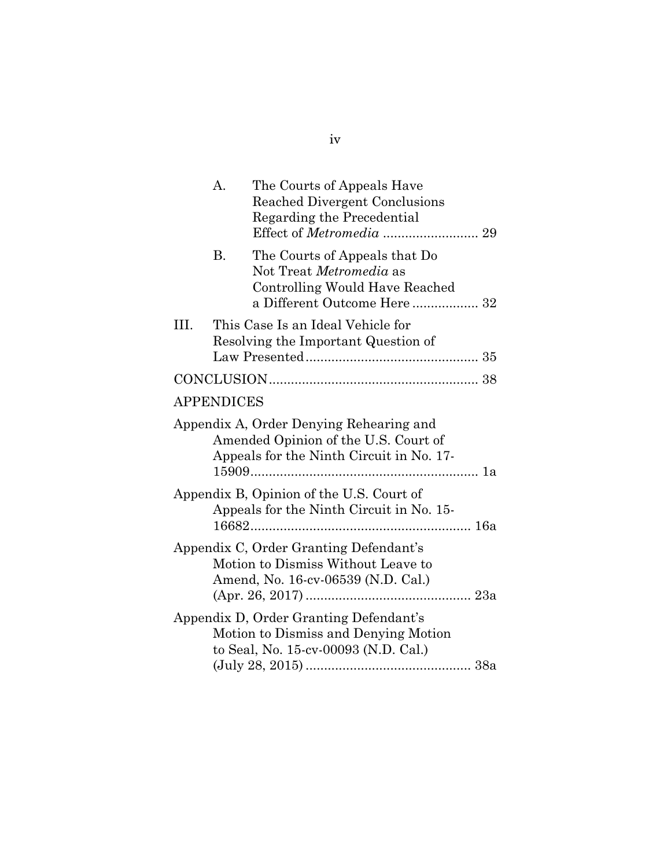|      | А.                | The Courts of Appeals Have<br><b>Reached Divergent Conclusions</b><br>Regarding the Precedential                            |  |
|------|-------------------|-----------------------------------------------------------------------------------------------------------------------------|--|
|      | <b>B.</b>         | The Courts of Appeals that Do<br>Not Treat Metromedia as<br>Controlling Would Have Reached<br>a Different Outcome Here 32   |  |
| III. |                   | This Case Is an Ideal Vehicle for<br>Resolving the Important Question of                                                    |  |
|      |                   |                                                                                                                             |  |
|      | <b>APPENDICES</b> |                                                                                                                             |  |
|      |                   | Appendix A, Order Denying Rehearing and<br>Amended Opinion of the U.S. Court of<br>Appeals for the Ninth Circuit in No. 17- |  |
|      |                   | Appendix B, Opinion of the U.S. Court of<br>Appeals for the Ninth Circuit in No. 15-                                        |  |
|      |                   | Appendix C, Order Granting Defendant's<br>Motion to Dismiss Without Leave to<br>Amend, No. 16-cv-06539 (N.D. Cal.)          |  |
|      |                   | Appendix D, Order Granting Defendant's<br>Motion to Dismiss and Denying Motion<br>to Seal, No. 15-cv-00093 (N.D. Cal.)      |  |

iv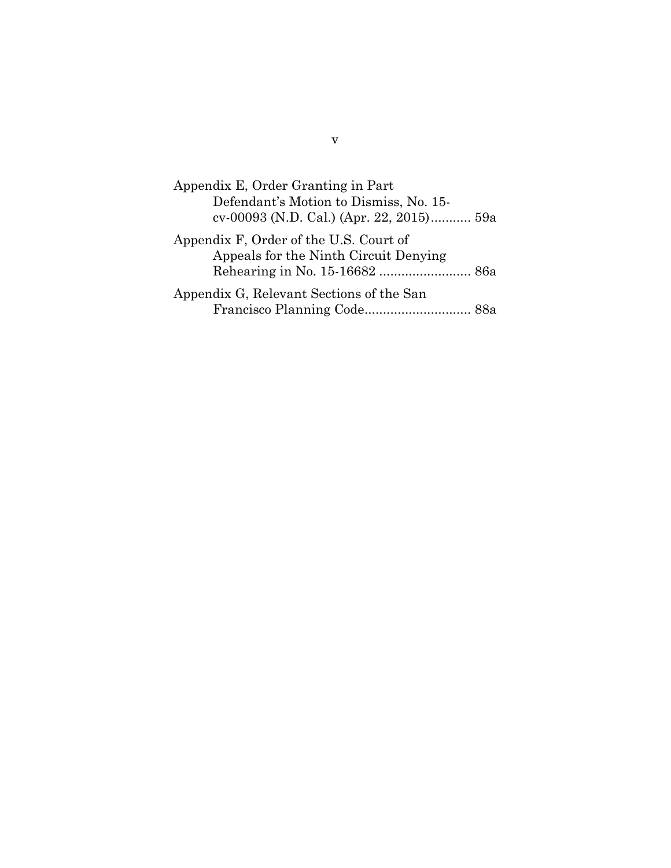| Appendix E, Order Granting in Part                                                 |  |
|------------------------------------------------------------------------------------|--|
| Defendant's Motion to Dismiss, No. 15-<br>cv-00093 (N.D. Cal.) (Apr. 22, 2015) 59a |  |
|                                                                                    |  |
| Appendix F, Order of the U.S. Court of                                             |  |
| Appeals for the Ninth Circuit Denying                                              |  |
| Rehearing in No. 15-16682  86a                                                     |  |
| Appendix G, Relevant Sections of the San                                           |  |
|                                                                                    |  |

v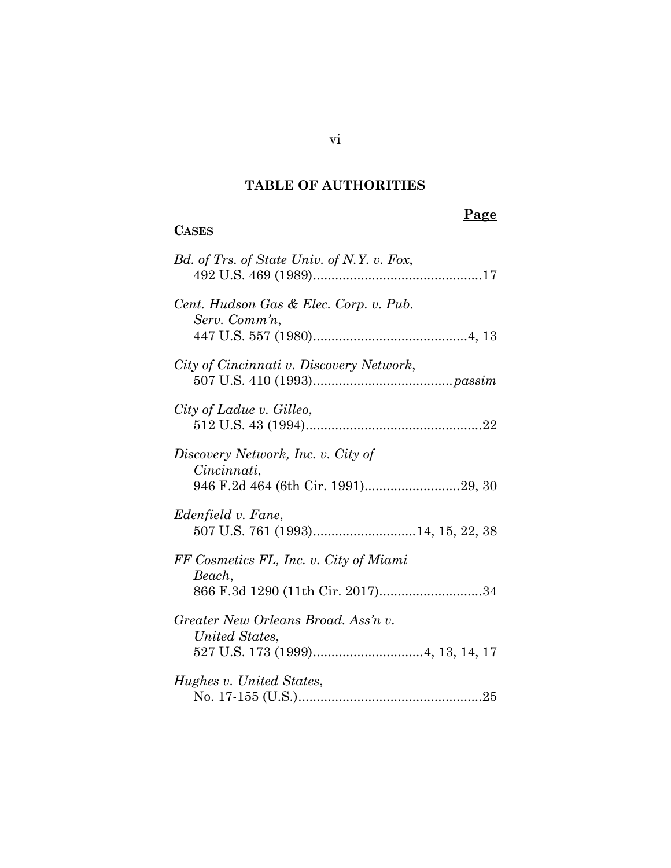# **TABLE OF AUTHORITIES**

# **CASES**

# **Page**

| Bd. of Trs. of State Univ. of N.Y. v. Fox,                                           |
|--------------------------------------------------------------------------------------|
| Cent. Hudson Gas & Elec. Corp. v. Pub.<br>Serv. Comm'n,                              |
| City of Cincinnati v. Discovery Network,                                             |
| City of Ladue v. Gilleo,                                                             |
| Discovery Network, Inc. v. City of<br>Cincinnati,                                    |
| Edenfield v. Fane,                                                                   |
| FF Cosmetics FL, Inc. v. City of Miami<br>Beach,<br>866 F.3d 1290 (11th Cir. 2017)34 |
| Greater New Orleans Broad. Ass'n v.<br>United States,                                |
| Hughes v. United States,                                                             |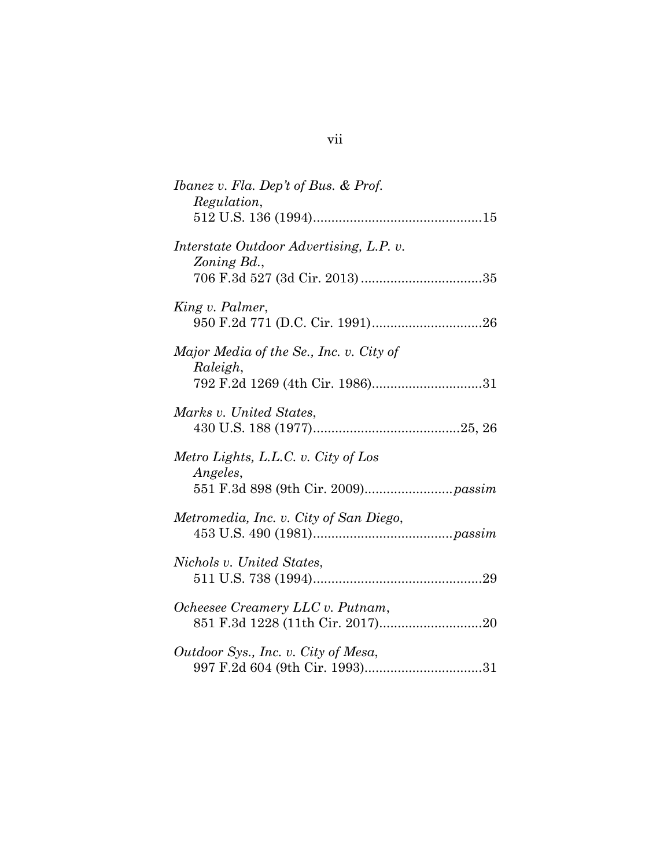| Ibanez v. Fla. Dep't of Bus. & Prof.<br>Regulation,                                    |  |
|----------------------------------------------------------------------------------------|--|
| Interstate Outdoor Advertising, L.P. v.<br>Zoning Bd.,                                 |  |
| King v. Palmer,                                                                        |  |
| Major Media of the Se., Inc. v. City of<br>Raleigh,<br>792 F.2d 1269 (4th Cir. 1986)31 |  |
| Marks v. United States,                                                                |  |
| Metro Lights, L.L.C. v. City of Los<br><i>Angeles,</i>                                 |  |
| Metromedia, Inc. v. City of San Diego,                                                 |  |
| Nichols v. United States,                                                              |  |
| Ocheesee Creamery LLC v. Putnam,                                                       |  |
| Outdoor Sys., Inc. v. City of Mesa,                                                    |  |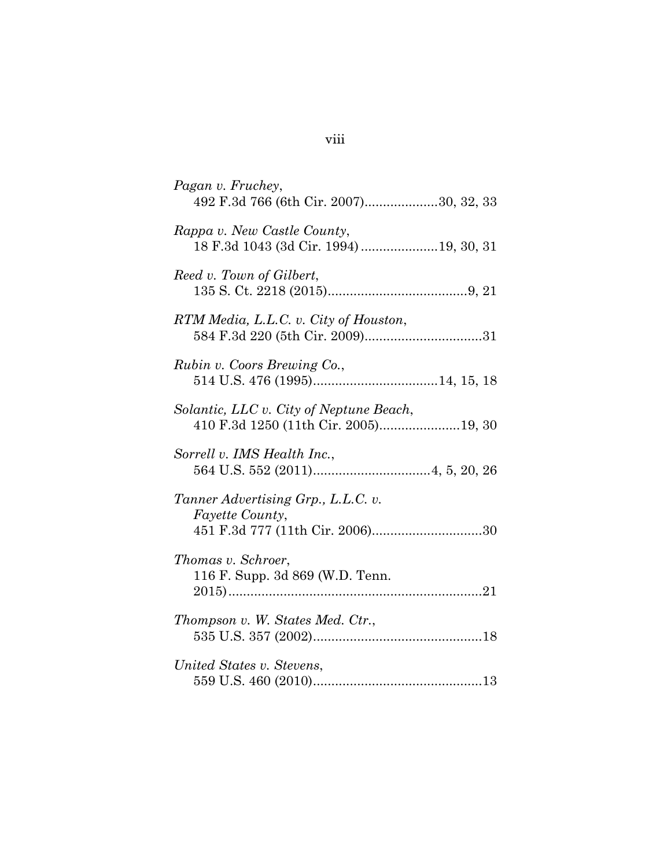| Pagan v. Fruchey,<br>492 F.3d 766 (6th Cir. 2007)30, 32, 33                              |
|------------------------------------------------------------------------------------------|
| Rappa v. New Castle County,<br>18 F.3d 1043 (3d Cir. 1994)19, 30, 31                     |
| Reed v. Town of Gilbert,                                                                 |
| RTM Media, L.L.C. v. City of Houston,                                                    |
| Rubin v. Coors Brewing Co.,                                                              |
| Solantic, LLC v. City of Neptune Beach,<br>410 F.3d 1250 (11th Cir. 2005)19, 30          |
| Sorrell v. IMS Health Inc.,                                                              |
| Tanner Advertising Grp., L.L.C. v.<br>Fayette County,<br>451 F.3d 777 (11th Cir. 2006)30 |
| Thomas v. Schroer,<br>116 F. Supp. 3d 869 (W.D. Tenn.                                    |
| Thompson v. W. States Med. Ctr.,                                                         |
| United States v. Stevens,                                                                |

# viii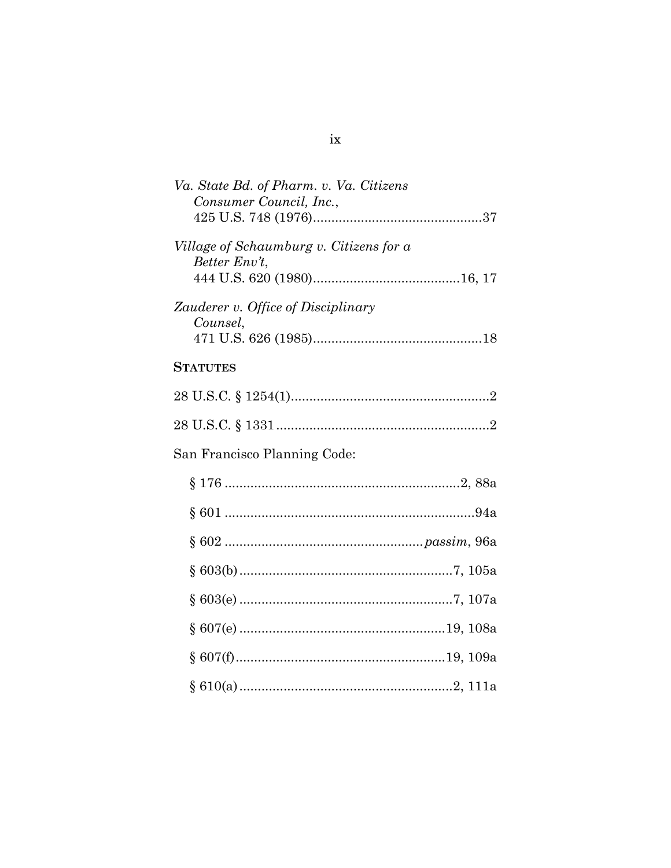# $\ensuremath{\text{i}} \ensuremath{\text{x}}$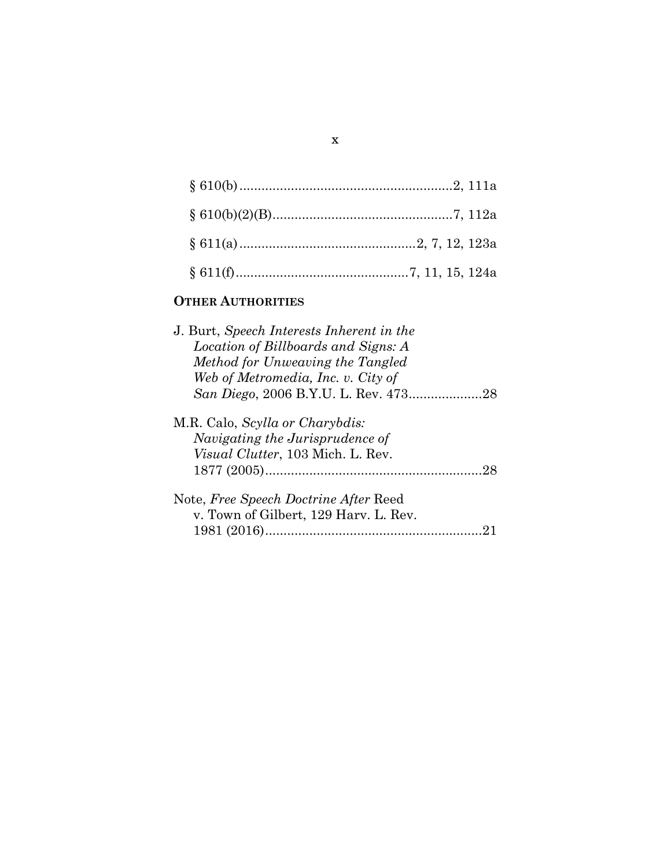# **OTHER AUTHORITIES**

| J. Burt, Speech Interests Inherent in the                                             |
|---------------------------------------------------------------------------------------|
| Location of Billboards and Signs: A                                                   |
| Method for Unweaving the Tangled                                                      |
| Web of Metromedia, Inc. v. City of                                                    |
| San Diego, 2006 B.Y.U. L. Rev. 47328                                                  |
| M.R. Calo, <i>Scylla or Charybdis:</i><br>Navigating the Jurisprudence of             |
| <i>Visual Clutter</i> , 103 Mich. L. Rev.                                             |
| 28                                                                                    |
| Note, <i>Free Speech Doctrine After Reed</i><br>v. Town of Gilbert, 129 Harv. L. Rev. |
|                                                                                       |
|                                                                                       |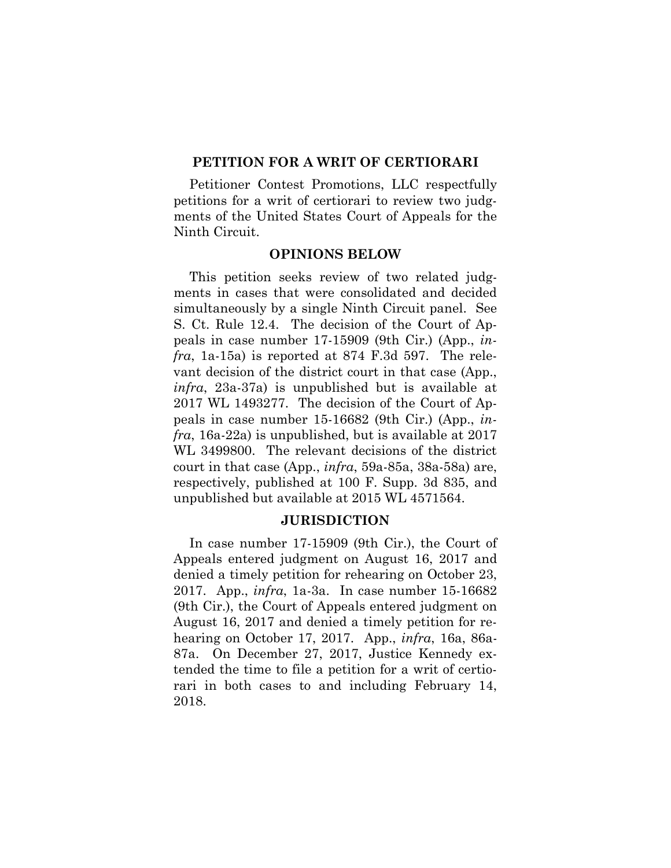#### **PETITION FOR A WRIT OF CERTIORARI**

Petitioner Contest Promotions, LLC respectfully petitions for a writ of certiorari to review two judgments of the United States Court of Appeals for the Ninth Circuit.

#### **OPINIONS BELOW**

This petition seeks review of two related judgments in cases that were consolidated and decided simultaneously by a single Ninth Circuit panel. See S. Ct. Rule 12.4. The decision of the Court of Appeals in case number 17-15909 (9th Cir.) (App., *infra*, 1a-15a) is reported at 874 F.3d 597. The relevant decision of the district court in that case (App., *infra*, 23a-37a) is unpublished but is available at 2017 WL 1493277. The decision of the Court of Appeals in case number 15-16682 (9th Cir.) (App., *infra*, 16a-22a) is unpublished, but is available at 2017 WL 3499800. The relevant decisions of the district court in that case (App., *infra*, 59a-85a, 38a-58a) are, respectively, published at 100 F. Supp. 3d 835, and unpublished but available at 2015 WL 4571564.

#### **JURISDICTION**

In case number 17-15909 (9th Cir.), the Court of Appeals entered judgment on August 16, 2017 and denied a timely petition for rehearing on October 23, 2017. App., *infra*, 1a-3a. In case number 15-16682 (9th Cir.), the Court of Appeals entered judgment on August 16, 2017 and denied a timely petition for rehearing on October 17, 2017. App., *infra*, 16a, 86a-87a. On December 27, 2017, Justice Kennedy extended the time to file a petition for a writ of certiorari in both cases to and including February 14, 2018.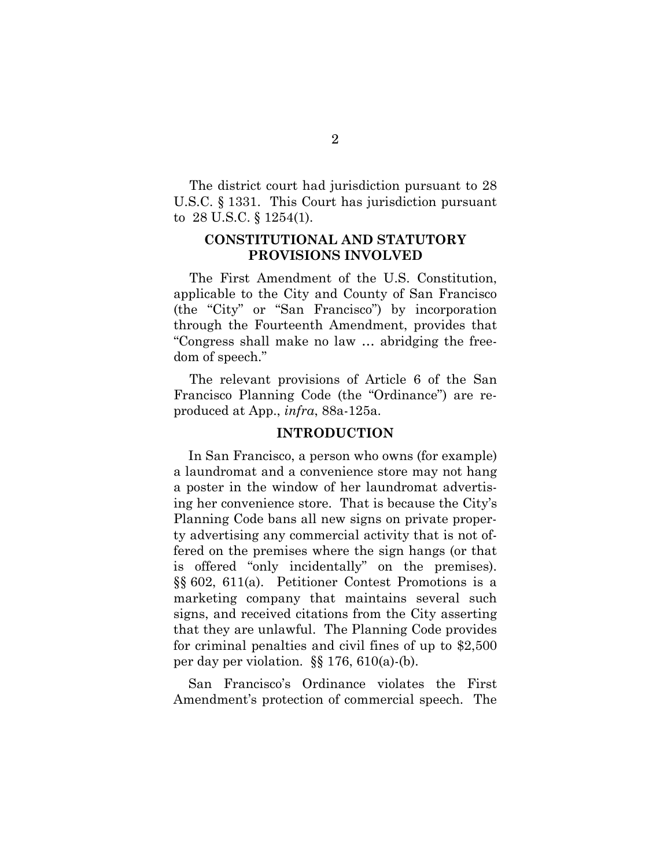The district court had jurisdiction pursuant to 28 U.S.C. § 1331. This Court has jurisdiction pursuant to 28 U.S.C. § 1254(1).

#### **CONSTITUTIONAL AND STATUTORY PROVISIONS INVOLVED**

The First Amendment of the U.S. Constitution, applicable to the City and County of San Francisco (the "City" or "San Francisco") by incorporation through the Fourteenth Amendment, provides that "Congress shall make no law … abridging the freedom of speech."

The relevant provisions of Article 6 of the San Francisco Planning Code (the "Ordinance") are reproduced at App., *infra*, 88a-125a.

#### **INTRODUCTION**

In San Francisco, a person who owns (for example) a laundromat and a convenience store may not hang a poster in the window of her laundromat advertising her convenience store. That is because the City's Planning Code bans all new signs on private property advertising any commercial activity that is not offered on the premises where the sign hangs (or that is offered "only incidentally" on the premises). §§ 602, 611(a). Petitioner Contest Promotions is a marketing company that maintains several such signs, and received citations from the City asserting that they are unlawful. The Planning Code provides for criminal penalties and civil fines of up to \$2,500 per day per violation. §§ 176, 610(a)-(b).

San Francisco's Ordinance violates the First Amendment's protection of commercial speech. The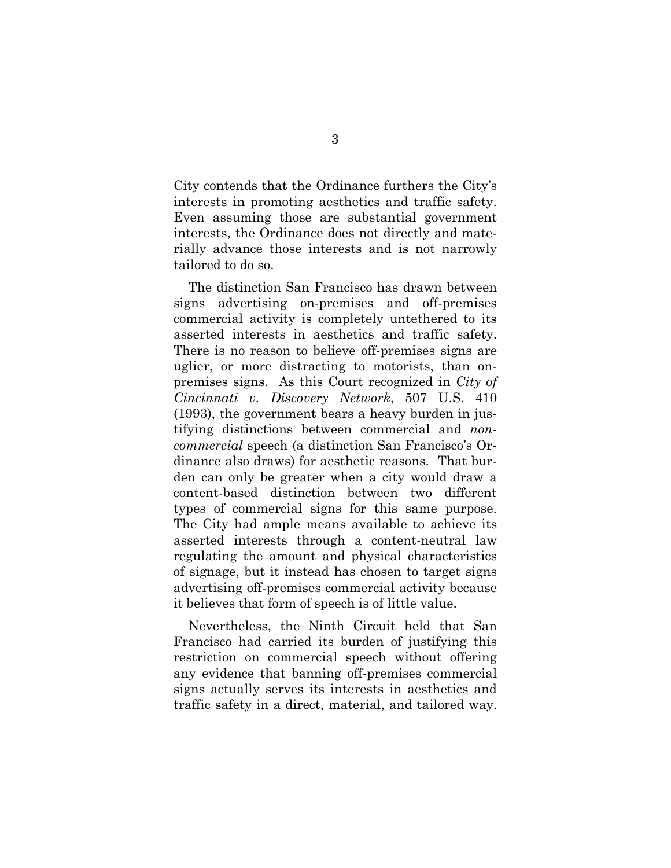City contends that the Ordinance furthers the City's interests in promoting aesthetics and traffic safety. Even assuming those are substantial government interests, the Ordinance does not directly and materially advance those interests and is not narrowly tailored to do so.

The distinction San Francisco has drawn between signs advertising on-premises and off-premises commercial activity is completely untethered to its asserted interests in aesthetics and traffic safety. There is no reason to believe off-premises signs are uglier, or more distracting to motorists, than onpremises signs. As this Court recognized in *City of Cincinnati v. Discovery Network*, 507 U.S. 410 (1993), the government bears a heavy burden in justifying distinctions between commercial and *noncommercial* speech (a distinction San Francisco's Ordinance also draws) for aesthetic reasons. That burden can only be greater when a city would draw a content-based distinction between two different types of commercial signs for this same purpose. The City had ample means available to achieve its asserted interests through a content-neutral law regulating the amount and physical characteristics of signage, but it instead has chosen to target signs advertising off-premises commercial activity because it believes that form of speech is of little value.

Nevertheless, the Ninth Circuit held that San Francisco had carried its burden of justifying this restriction on commercial speech without offering any evidence that banning off-premises commercial signs actually serves its interests in aesthetics and traffic safety in a direct, material, and tailored way.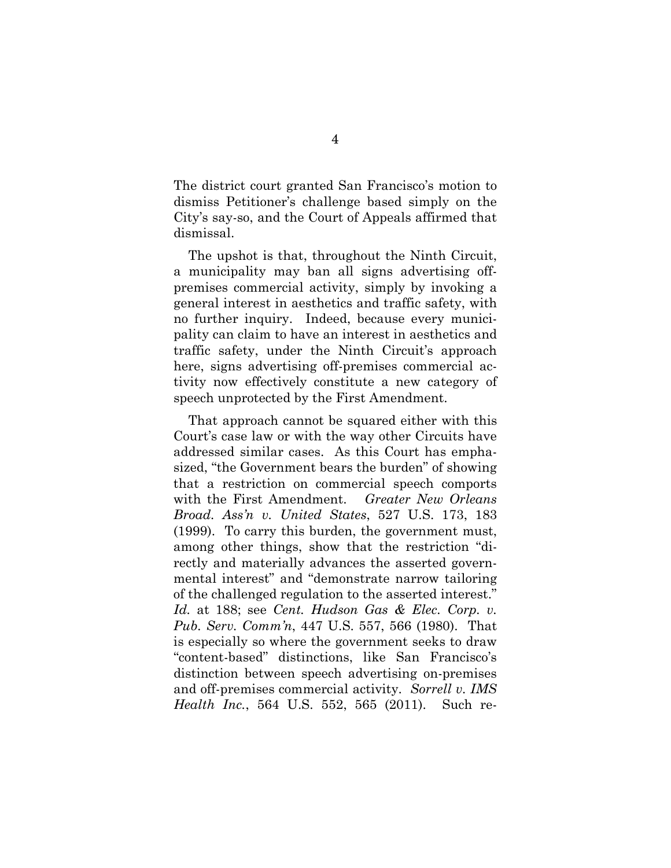The district court granted San Francisco's motion to dismiss Petitioner's challenge based simply on the City's say-so, and the Court of Appeals affirmed that dismissal.

The upshot is that, throughout the Ninth Circuit, a municipality may ban all signs advertising offpremises commercial activity, simply by invoking a general interest in aesthetics and traffic safety, with no further inquiry. Indeed, because every municipality can claim to have an interest in aesthetics and traffic safety, under the Ninth Circuit's approach here, signs advertising off-premises commercial activity now effectively constitute a new category of speech unprotected by the First Amendment.

That approach cannot be squared either with this Court's case law or with the way other Circuits have addressed similar cases. As this Court has emphasized, "the Government bears the burden" of showing that a restriction on commercial speech comports with the First Amendment. *Greater New Orleans Broad. Ass'n v. United States*, 527 U.S. 173, 183 (1999). To carry this burden, the government must, among other things, show that the restriction "directly and materially advances the asserted governmental interest" and "demonstrate narrow tailoring of the challenged regulation to the asserted interest." *Id.* at 188; see *Cent. Hudson Gas & Elec. Corp. v. Pub. Serv. Comm'n*, 447 U.S. 557, 566 (1980). That is especially so where the government seeks to draw "content-based" distinctions, like San Francisco's distinction between speech advertising on-premises and off-premises commercial activity. *Sorrell v. IMS Health Inc.*, 564 U.S. 552, 565 (2011). Such re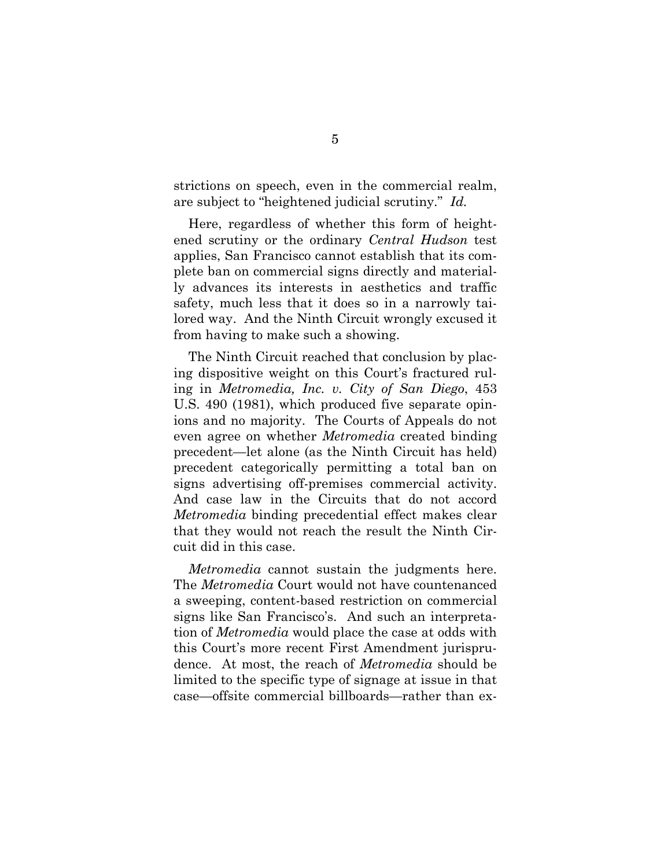strictions on speech, even in the commercial realm, are subject to "heightened judicial scrutiny." *Id.*

Here, regardless of whether this form of heightened scrutiny or the ordinary *Central Hudson* test applies, San Francisco cannot establish that its complete ban on commercial signs directly and materially advances its interests in aesthetics and traffic safety, much less that it does so in a narrowly tailored way. And the Ninth Circuit wrongly excused it from having to make such a showing.

The Ninth Circuit reached that conclusion by placing dispositive weight on this Court's fractured ruling in *Metromedia, Inc. v. City of San Diego*, 453 U.S. 490 (1981), which produced five separate opinions and no majority. The Courts of Appeals do not even agree on whether *Metromedia* created binding precedent—let alone (as the Ninth Circuit has held) precedent categorically permitting a total ban on signs advertising off-premises commercial activity. And case law in the Circuits that do not accord *Metromedia* binding precedential effect makes clear that they would not reach the result the Ninth Circuit did in this case.

*Metromedia* cannot sustain the judgments here. The *Metromedia* Court would not have countenanced a sweeping, content-based restriction on commercial signs like San Francisco's. And such an interpretation of *Metromedia* would place the case at odds with this Court's more recent First Amendment jurisprudence. At most, the reach of *Metromedia* should be limited to the specific type of signage at issue in that case—offsite commercial billboards—rather than ex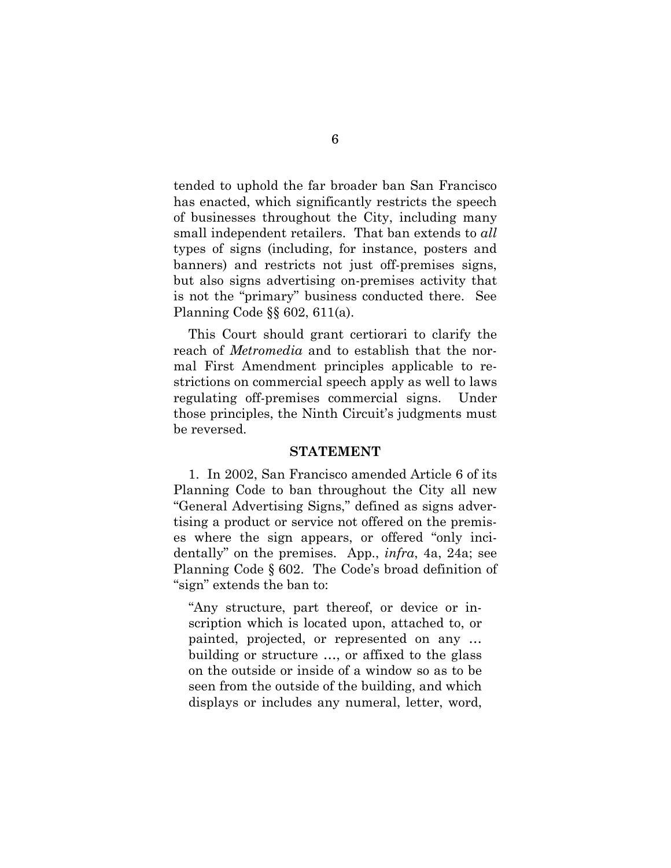tended to uphold the far broader ban San Francisco has enacted, which significantly restricts the speech of businesses throughout the City, including many small independent retailers. That ban extends to *all* types of signs (including, for instance, posters and banners) and restricts not just off-premises signs, but also signs advertising on-premises activity that is not the "primary" business conducted there. See Planning Code §§ 602, 611(a).

This Court should grant certiorari to clarify the reach of *Metromedia* and to establish that the normal First Amendment principles applicable to restrictions on commercial speech apply as well to laws regulating off-premises commercial signs. Under those principles, the Ninth Circuit's judgments must be reversed.

#### **STATEMENT**

1. In 2002, San Francisco amended Article 6 of its Planning Code to ban throughout the City all new "General Advertising Signs," defined as signs advertising a product or service not offered on the premises where the sign appears, or offered "only incidentally" on the premises. App., *infra*, 4a, 24a; see Planning Code § 602. The Code's broad definition of "sign" extends the ban to:

"Any structure, part thereof, or device or inscription which is located upon, attached to, or painted, projected, or represented on any … building or structure …, or affixed to the glass on the outside or inside of a window so as to be seen from the outside of the building, and which displays or includes any numeral, letter, word,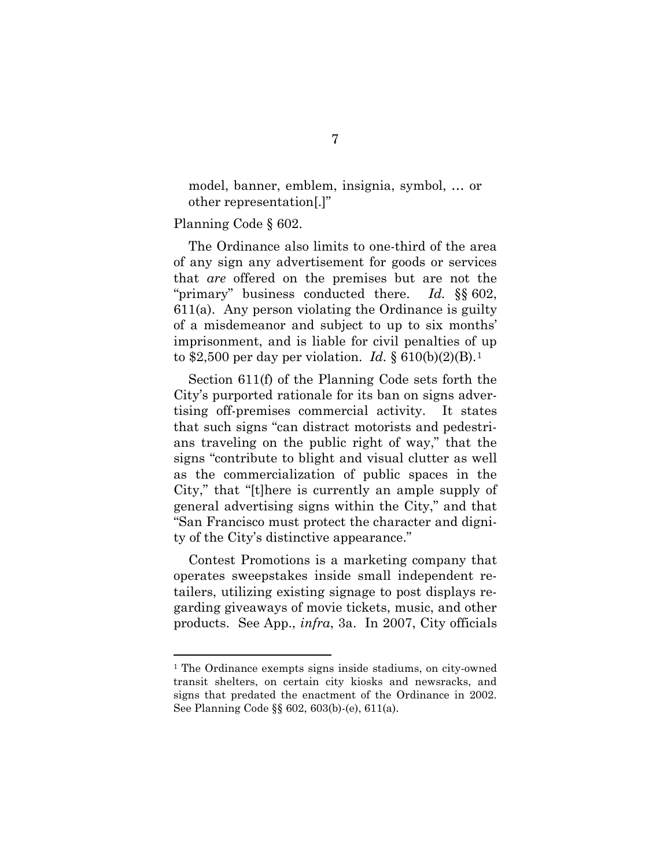model, banner, emblem, insignia, symbol, … or other representation[.]"

Planning Code § 602.

 $\overline{a}$ 

The Ordinance also limits to one-third of the area of any sign any advertisement for goods or services that *are* offered on the premises but are not the "primary" business conducted there. *Id.* §§ 602, 611(a). Any person violating the Ordinance is guilty of a misdemeanor and subject to up to six months' imprisonment, and is liable for civil penalties of up to \$2,500 per day per violation. *Id.* § 610(b)(2)(B).[1](#page-17-0)

Section 611(f) of the Planning Code sets forth the City's purported rationale for its ban on signs advertising off-premises commercial activity. It states that such signs "can distract motorists and pedestrians traveling on the public right of way," that the signs "contribute to blight and visual clutter as well as the commercialization of public spaces in the City," that "[t]here is currently an ample supply of general advertising signs within the City," and that "San Francisco must protect the character and dignity of the City's distinctive appearance."

Contest Promotions is a marketing company that operates sweepstakes inside small independent retailers, utilizing existing signage to post displays regarding giveaways of movie tickets, music, and other products. See App., *infra*, 3a. In 2007, City officials

<span id="page-17-0"></span><sup>&</sup>lt;sup>1</sup> The Ordinance exempts signs inside stadiums, on city-owned transit shelters, on certain city kiosks and newsracks, and signs that predated the enactment of the Ordinance in 2002. See Planning Code §§ 602, 603(b)-(e), 611(a).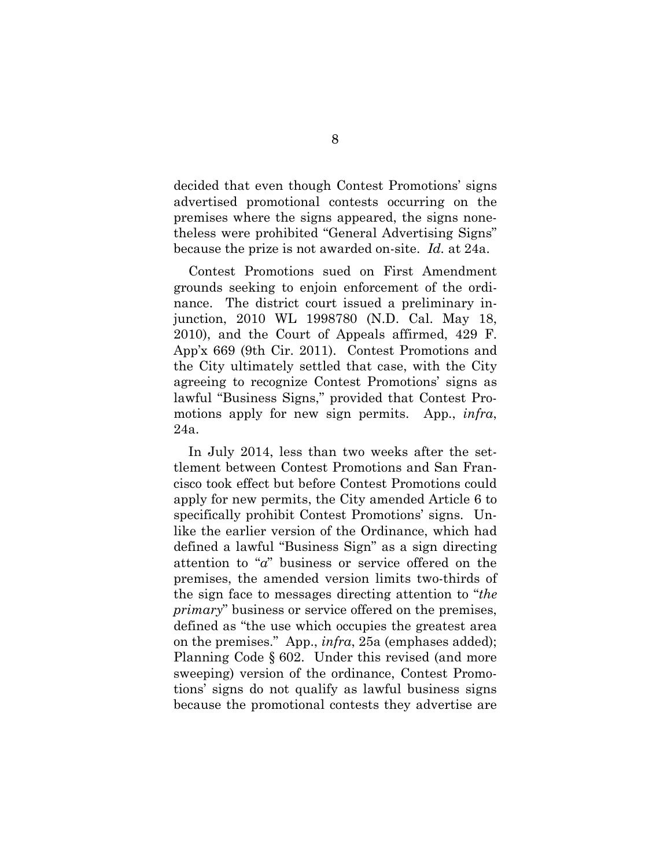decided that even though Contest Promotions' signs advertised promotional contests occurring on the premises where the signs appeared, the signs nonetheless were prohibited "General Advertising Signs" because the prize is not awarded on-site. *Id.* at 24a.

Contest Promotions sued on First Amendment grounds seeking to enjoin enforcement of the ordinance. The district court issued a preliminary injunction, 2010 WL 1998780 (N.D. Cal. May 18, 2010), and the Court of Appeals affirmed, 429 F. App'x 669 (9th Cir. 2011). Contest Promotions and the City ultimately settled that case, with the City agreeing to recognize Contest Promotions' signs as lawful "Business Signs," provided that Contest Promotions apply for new sign permits. App., *infra*, 24a.

In July 2014, less than two weeks after the settlement between Contest Promotions and San Francisco took effect but before Contest Promotions could apply for new permits, the City amended Article 6 to specifically prohibit Contest Promotions' signs. Unlike the earlier version of the Ordinance, which had defined a lawful "Business Sign" as a sign directing attention to "*a*" business or service offered on the premises, the amended version limits two-thirds of the sign face to messages directing attention to "*the primary*" business or service offered on the premises, defined as "the use which occupies the greatest area on the premises." App., *infra*, 25a (emphases added); Planning Code § 602. Under this revised (and more sweeping) version of the ordinance, Contest Promotions' signs do not qualify as lawful business signs because the promotional contests they advertise are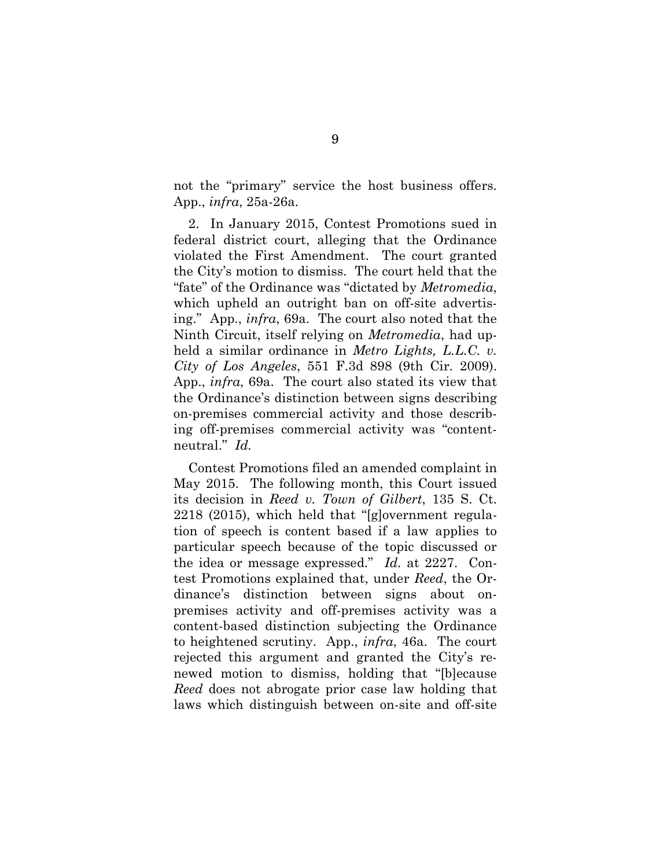not the "primary" service the host business offers. App., *infra*, 25a-26a.

2. In January 2015, Contest Promotions sued in federal district court, alleging that the Ordinance violated the First Amendment. The court granted the City's motion to dismiss. The court held that the "fate" of the Ordinance was "dictated by *Metromedia*, which upheld an outright ban on off-site advertising." App., *infra*, 69a. The court also noted that the Ninth Circuit, itself relying on *Metromedia*, had upheld a similar ordinance in *Metro Lights, L.L.C. v. City of Los Angeles*, 551 F.3d 898 (9th Cir. 2009). App., *infra*, 69a. The court also stated its view that the Ordinance's distinction between signs describing on-premises commercial activity and those describing off-premises commercial activity was "contentneutral." *Id.*

Contest Promotions filed an amended complaint in May 2015. The following month, this Court issued its decision in *Reed v. Town of Gilbert*, 135 S. Ct. 2218 (2015), which held that "[g]overnment regulation of speech is content based if a law applies to particular speech because of the topic discussed or the idea or message expressed." *Id.* at 2227. Contest Promotions explained that, under *Reed*, the Ordinance's distinction between signs about onpremises activity and off-premises activity was a content-based distinction subjecting the Ordinance to heightened scrutiny. App., *infra*, 46a. The court rejected this argument and granted the City's renewed motion to dismiss, holding that "[b]ecause *Reed* does not abrogate prior case law holding that laws which distinguish between on-site and off-site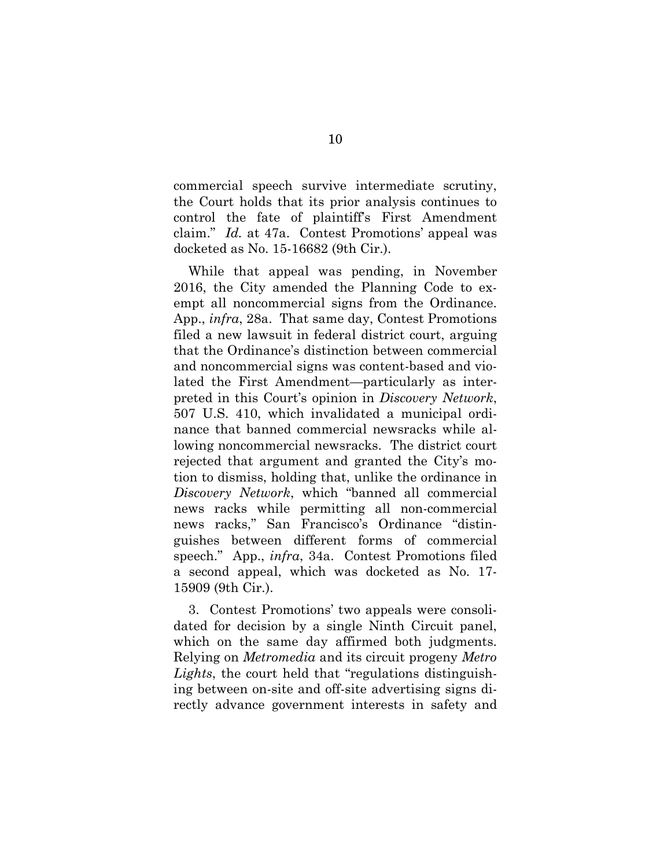commercial speech survive intermediate scrutiny, the Court holds that its prior analysis continues to control the fate of plaintiff's First Amendment claim." *Id.* at 47a. Contest Promotions' appeal was docketed as No. 15-16682 (9th Cir.).

While that appeal was pending, in November 2016, the City amended the Planning Code to exempt all noncommercial signs from the Ordinance. App., *infra*, 28a. That same day, Contest Promotions filed a new lawsuit in federal district court, arguing that the Ordinance's distinction between commercial and noncommercial signs was content-based and violated the First Amendment—particularly as interpreted in this Court's opinion in *Discovery Network*, 507 U.S. 410, which invalidated a municipal ordinance that banned commercial newsracks while allowing noncommercial newsracks. The district court rejected that argument and granted the City's motion to dismiss, holding that, unlike the ordinance in *Discovery Network*, which "banned all commercial news racks while permitting all non-commercial news racks," San Francisco's Ordinance "distinguishes between different forms of commercial speech." App., *infra*, 34a. Contest Promotions filed a second appeal, which was docketed as No. 17- 15909 (9th Cir.).

3. Contest Promotions' two appeals were consolidated for decision by a single Ninth Circuit panel, which on the same day affirmed both judgments. Relying on *Metromedia* and its circuit progeny *Metro Lights*, the court held that "regulations distinguishing between on-site and off-site advertising signs directly advance government interests in safety and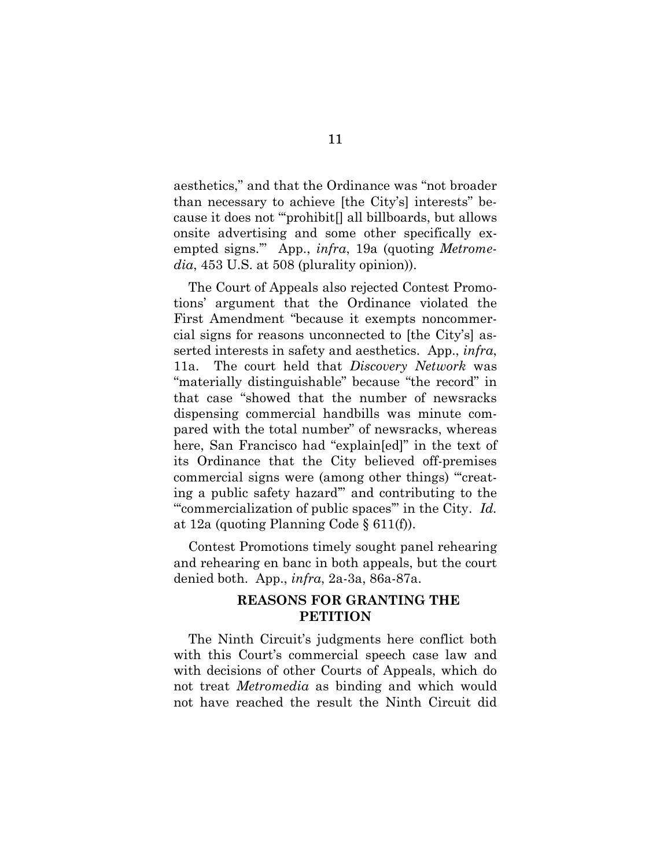aesthetics," and that the Ordinance was "not broader than necessary to achieve [the City's] interests" because it does not "'prohibit[] all billboards, but allows onsite advertising and some other specifically exempted signs.'" App., *infra*, 19a (quoting *Metromedia*, 453 U.S. at 508 (plurality opinion)).

The Court of Appeals also rejected Contest Promotions' argument that the Ordinance violated the First Amendment "because it exempts noncommercial signs for reasons unconnected to [the City's] asserted interests in safety and aesthetics. App., *infra*, 11a. The court held that *Discovery Network* was "materially distinguishable" because "the record" in that case "showed that the number of newsracks dispensing commercial handbills was minute compared with the total number" of newsracks, whereas here, San Francisco had "explain[ed]" in the text of its Ordinance that the City believed off-premises commercial signs were (among other things) "'creating a public safety hazard'" and contributing to the "'commercialization of public spaces'" in the City. *Id.*  at 12a (quoting Planning Code § 611(f)).

Contest Promotions timely sought panel rehearing and rehearing en banc in both appeals, but the court denied both. App., *infra*, 2a-3a, 86a-87a.

# **REASONS FOR GRANTING THE PETITION**

The Ninth Circuit's judgments here conflict both with this Court's commercial speech case law and with decisions of other Courts of Appeals, which do not treat *Metromedia* as binding and which would not have reached the result the Ninth Circuit did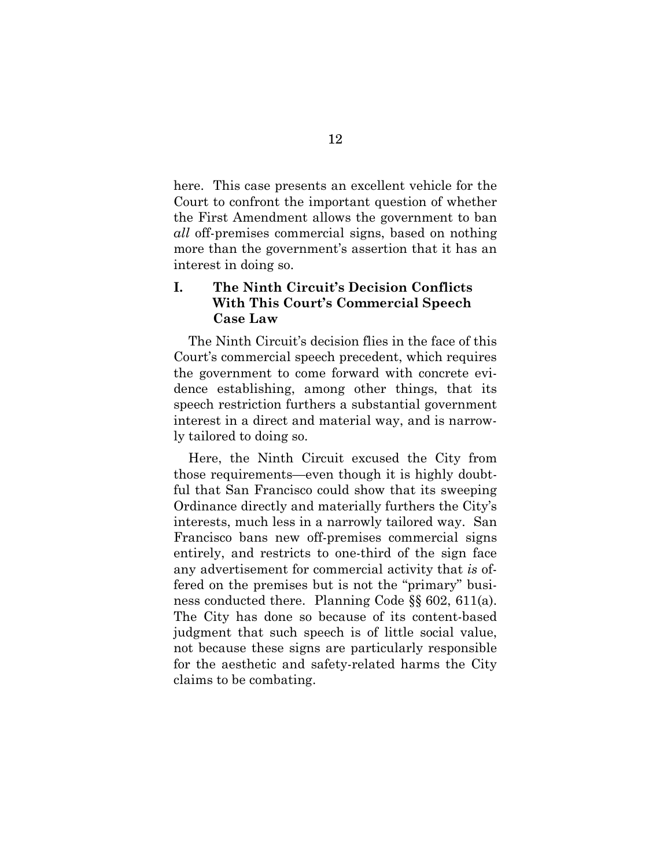here. This case presents an excellent vehicle for the Court to confront the important question of whether the First Amendment allows the government to ban *all* off-premises commercial signs, based on nothing more than the government's assertion that it has an interest in doing so.

# **I. The Ninth Circuit's Decision Conflicts With This Court's Commercial Speech Case Law**

The Ninth Circuit's decision flies in the face of this Court's commercial speech precedent, which requires the government to come forward with concrete evidence establishing, among other things, that its speech restriction furthers a substantial government interest in a direct and material way, and is narrowly tailored to doing so.

Here, the Ninth Circuit excused the City from those requirements—even though it is highly doubtful that San Francisco could show that its sweeping Ordinance directly and materially furthers the City's interests, much less in a narrowly tailored way. San Francisco bans new off-premises commercial signs entirely, and restricts to one-third of the sign face any advertisement for commercial activity that *is* offered on the premises but is not the "primary" business conducted there. Planning Code §§ 602, 611(a). The City has done so because of its content-based judgment that such speech is of little social value, not because these signs are particularly responsible for the aesthetic and safety-related harms the City claims to be combating.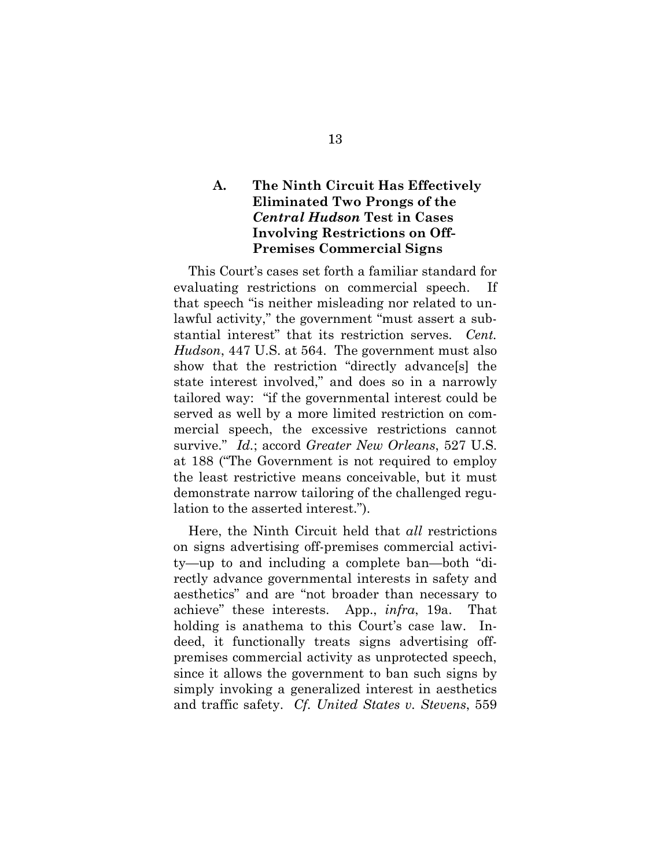# **A. The Ninth Circuit Has Effectively Eliminated Two Prongs of the**  *Central Hudson* **Test in Cases Involving Restrictions on Off-Premises Commercial Signs**

This Court's cases set forth a familiar standard for evaluating restrictions on commercial speech. If that speech "is neither misleading nor related to unlawful activity," the government "must assert a substantial interest" that its restriction serves. *Cent. Hudson*, 447 U.S. at 564. The government must also show that the restriction "directly advance[s] the state interest involved," and does so in a narrowly tailored way: "if the governmental interest could be served as well by a more limited restriction on commercial speech, the excessive restrictions cannot survive." *Id.*; accord *Greater New Orleans*, 527 U.S. at 188 ("The Government is not required to employ the least restrictive means conceivable, but it must demonstrate narrow tailoring of the challenged regulation to the asserted interest.").

Here, the Ninth Circuit held that *all* restrictions on signs advertising off-premises commercial activity—up to and including a complete ban—both "directly advance governmental interests in safety and aesthetics" and are "not broader than necessary to achieve" these interests. App., *infra*, 19a. That holding is anathema to this Court's case law. Indeed, it functionally treats signs advertising offpremises commercial activity as unprotected speech, since it allows the government to ban such signs by simply invoking a generalized interest in aesthetics and traffic safety. *Cf. United States v. Stevens*, 559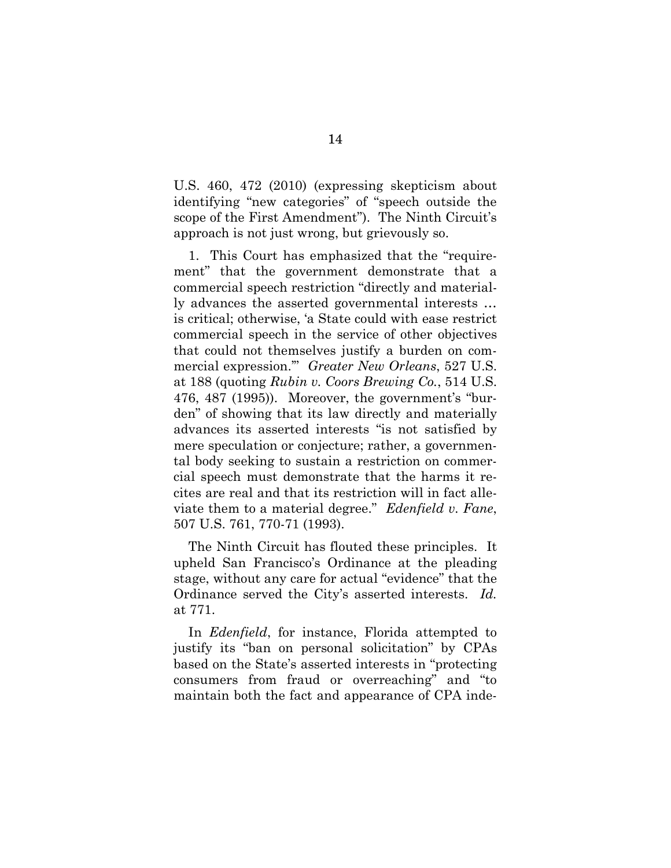U.S. 460, 472 (2010) (expressing skepticism about identifying "new categories" of "speech outside the scope of the First Amendment"). The Ninth Circuit's approach is not just wrong, but grievously so.

1. This Court has emphasized that the "requirement" that the government demonstrate that a commercial speech restriction "directly and materially advances the asserted governmental interests … is critical; otherwise, 'a State could with ease restrict commercial speech in the service of other objectives that could not themselves justify a burden on commercial expression.'" *Greater New Orleans*, 527 U.S. at 188 (quoting *Rubin v. Coors Brewing Co.*, 514 U.S. 476, 487 (1995)). Moreover, the government's "burden" of showing that its law directly and materially advances its asserted interests "is not satisfied by mere speculation or conjecture; rather, a governmental body seeking to sustain a restriction on commercial speech must demonstrate that the harms it recites are real and that its restriction will in fact alleviate them to a material degree." *Edenfield v. Fane*, 507 U.S. 761, 770-71 (1993).

The Ninth Circuit has flouted these principles. It upheld San Francisco's Ordinance at the pleading stage, without any care for actual "evidence" that the Ordinance served the City's asserted interests. *Id.*  at 771.

In *Edenfield*, for instance, Florida attempted to justify its "ban on personal solicitation" by CPAs based on the State's asserted interests in "protecting consumers from fraud or overreaching" and "to maintain both the fact and appearance of CPA inde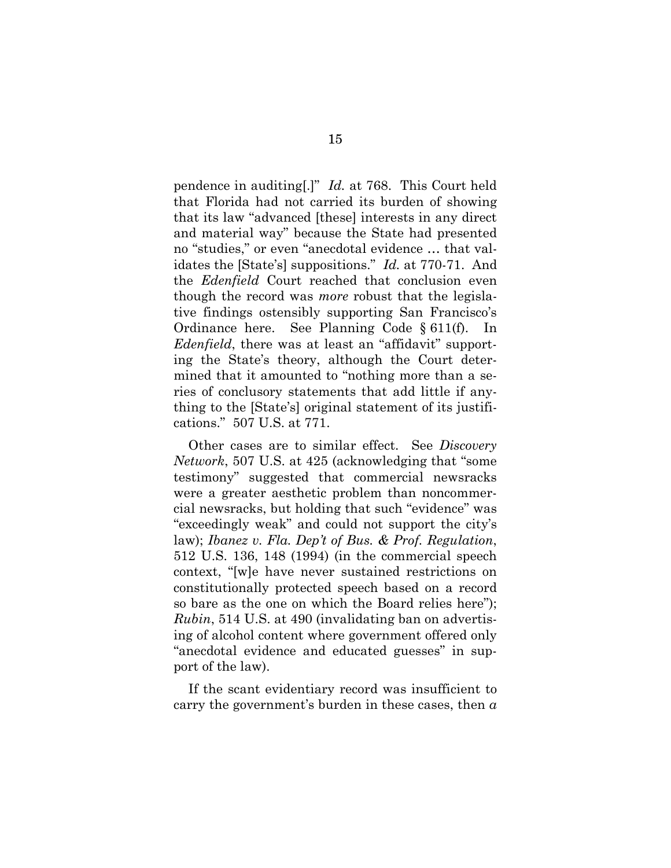pendence in auditing[.]" *Id.* at 768. This Court held that Florida had not carried its burden of showing that its law "advanced [these] interests in any direct and material way" because the State had presented no "studies," or even "anecdotal evidence … that validates the [State's] suppositions." *Id.* at 770-71. And the *Edenfield* Court reached that conclusion even though the record was *more* robust that the legislative findings ostensibly supporting San Francisco's Ordinance here. See Planning Code § 611(f). In *Edenfield*, there was at least an "affidavit" supporting the State's theory, although the Court determined that it amounted to "nothing more than a series of conclusory statements that add little if anything to the [State's] original statement of its justifications." 507 U.S. at 771.

Other cases are to similar effect. See *Discovery Network*, 507 U.S. at 425 (acknowledging that "some testimony" suggested that commercial newsracks were a greater aesthetic problem than noncommercial newsracks, but holding that such "evidence" was "exceedingly weak" and could not support the city's law); *Ibanez v. Fla. Dep't of Bus. & Prof. Regulation*, 512 U.S. 136, 148 (1994) (in the commercial speech context, "[w]e have never sustained restrictions on constitutionally protected speech based on a record so bare as the one on which the Board relies here"); *Rubin*, 514 U.S. at 490 (invalidating ban on advertising of alcohol content where government offered only "anecdotal evidence and educated guesses" in support of the law).

If the scant evidentiary record was insufficient to carry the government's burden in these cases, then *a*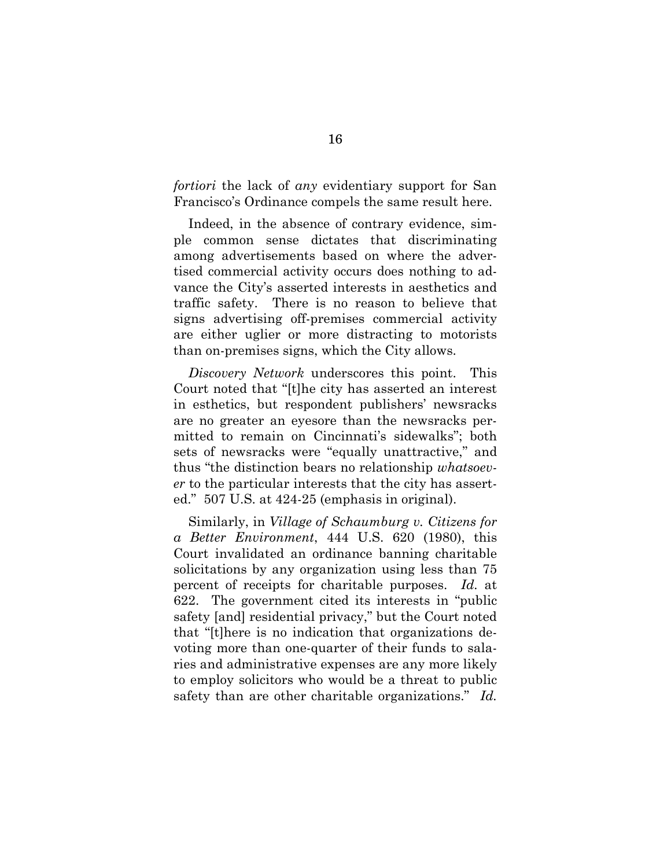*fortiori* the lack of *any* evidentiary support for San Francisco's Ordinance compels the same result here.

Indeed, in the absence of contrary evidence, simple common sense dictates that discriminating among advertisements based on where the advertised commercial activity occurs does nothing to advance the City's asserted interests in aesthetics and traffic safety. There is no reason to believe that signs advertising off-premises commercial activity are either uglier or more distracting to motorists than on-premises signs, which the City allows.

*Discovery Network* underscores this point. This Court noted that "[t]he city has asserted an interest in esthetics, but respondent publishers' newsracks are no greater an eyesore than the newsracks permitted to remain on Cincinnati's sidewalks"; both sets of newsracks were "equally unattractive," and thus "the distinction bears no relationship *whatsoever* to the particular interests that the city has asserted." 507 U.S. at 424-25 (emphasis in original).

Similarly, in *Village of Schaumburg v. Citizens for a Better Environment*, 444 U.S. 620 (1980), this Court invalidated an ordinance banning charitable solicitations by any organization using less than 75 percent of receipts for charitable purposes. *Id.* at 622. The government cited its interests in "public safety [and] residential privacy," but the Court noted that "[t]here is no indication that organizations devoting more than one-quarter of their funds to salaries and administrative expenses are any more likely to employ solicitors who would be a threat to public safety than are other charitable organizations." *Id.*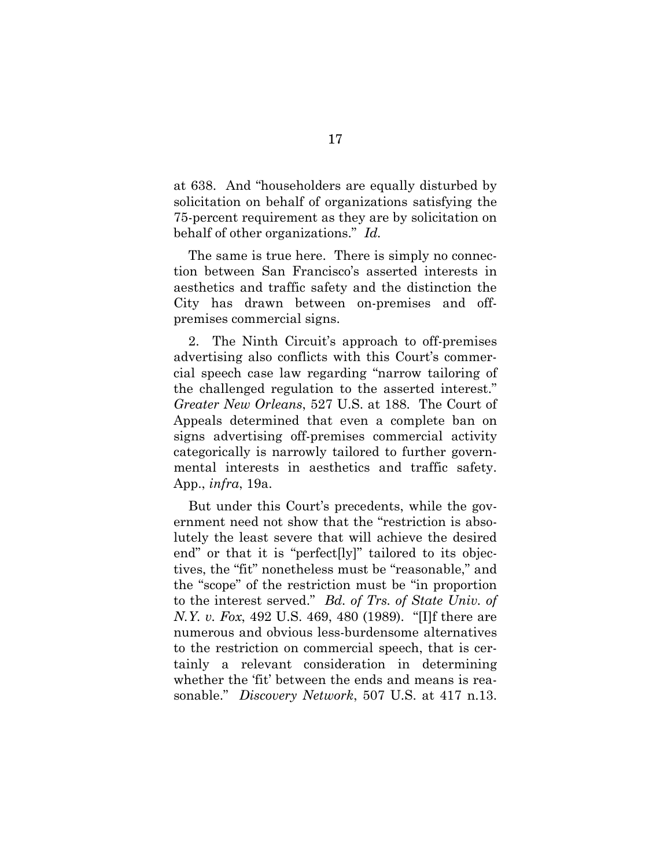at 638. And "householders are equally disturbed by solicitation on behalf of organizations satisfying the 75-percent requirement as they are by solicitation on behalf of other organizations." *Id.*

The same is true here. There is simply no connection between San Francisco's asserted interests in aesthetics and traffic safety and the distinction the City has drawn between on-premises and offpremises commercial signs.

2. The Ninth Circuit's approach to off-premises advertising also conflicts with this Court's commercial speech case law regarding "narrow tailoring of the challenged regulation to the asserted interest." *Greater New Orleans*, 527 U.S. at 188. The Court of Appeals determined that even a complete ban on signs advertising off-premises commercial activity categorically is narrowly tailored to further governmental interests in aesthetics and traffic safety. App., *infra*, 19a.

But under this Court's precedents, while the government need not show that the "restriction is absolutely the least severe that will achieve the desired end" or that it is "perfect[ly]" tailored to its objectives, the "fit" nonetheless must be "reasonable," and the "scope" of the restriction must be "in proportion to the interest served." *Bd. of Trs. of State Univ. of N.Y. v. Fox*, 492 U.S. 469, 480 (1989). "[I]f there are numerous and obvious less-burdensome alternatives to the restriction on commercial speech, that is certainly a relevant consideration in determining whether the 'fit' between the ends and means is reasonable." *Discovery Network*, 507 U.S. at 417 n.13.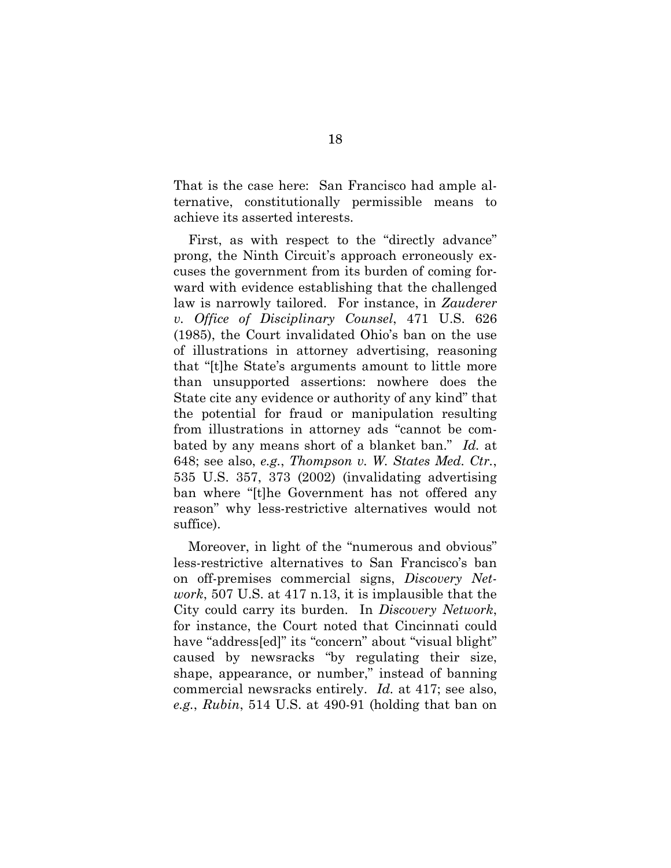That is the case here: San Francisco had ample alternative, constitutionally permissible means to achieve its asserted interests.

First, as with respect to the "directly advance" prong, the Ninth Circuit's approach erroneously excuses the government from its burden of coming forward with evidence establishing that the challenged law is narrowly tailored. For instance, in *Zauderer v. Office of Disciplinary Counsel*, 471 U.S. 626 (1985), the Court invalidated Ohio's ban on the use of illustrations in attorney advertising, reasoning that "[t]he State's arguments amount to little more than unsupported assertions: nowhere does the State cite any evidence or authority of any kind" that the potential for fraud or manipulation resulting from illustrations in attorney ads "cannot be combated by any means short of a blanket ban." *Id.* at 648; see also, *e.g.*, *Thompson v. W. States Med. Ctr.*, 535 U.S. 357, 373 (2002) (invalidating advertising ban where "[t]he Government has not offered any reason" why less-restrictive alternatives would not suffice).

Moreover, in light of the "numerous and obvious" less-restrictive alternatives to San Francisco's ban on off-premises commercial signs, *Discovery Network*, 507 U.S. at 417 n.13, it is implausible that the City could carry its burden. In *Discovery Network*, for instance, the Court noted that Cincinnati could have "address[ed]" its "concern" about "visual blight" caused by newsracks "by regulating their size, shape, appearance, or number," instead of banning commercial newsracks entirely. *Id.* at 417; see also, *e.g.*, *Rubin*, 514 U.S. at 490-91 (holding that ban on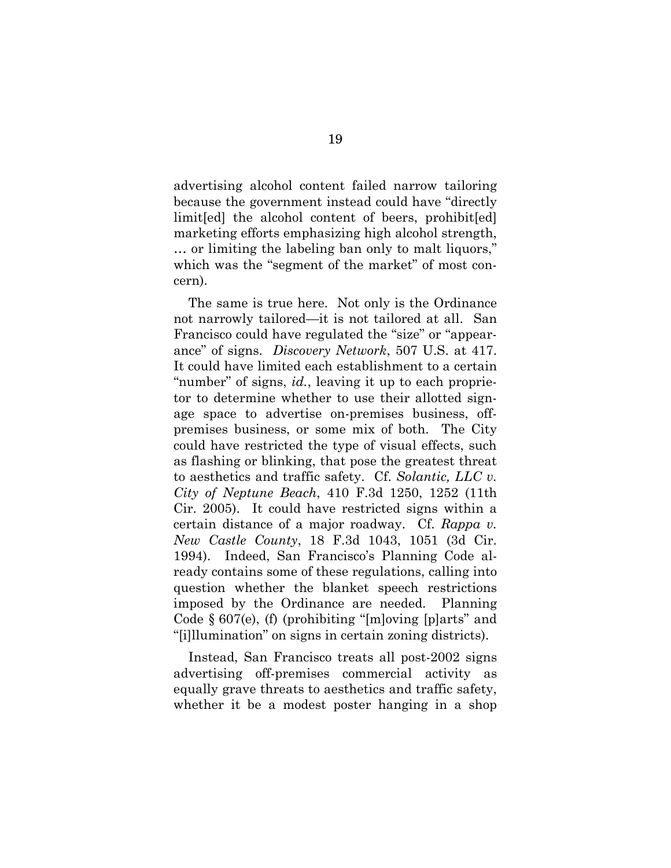advertising alcohol content failed narrow tailoring because the government instead could have "directly limit [ed] the alcohol content of beers, prohibit [ed] marketing efforts emphasizing high alcohol strength, … or limiting the labeling ban only to malt liquors," which was the "segment of the market" of most concern).

The same is true here. Not only is the Ordinance not narrowly tailored—it is not tailored at all. San Francisco could have regulated the "size" or "appearance" of signs. *Discovery Network*, 507 U.S. at 417. It could have limited each establishment to a certain "number" of signs, *id.*, leaving it up to each proprietor to determine whether to use their allotted signage space to advertise on-premises business, offpremises business, or some mix of both. The City could have restricted the type of visual effects, such as flashing or blinking, that pose the greatest threat to aesthetics and traffic safety. Cf. *Solantic, LLC v. City of Neptune Beach*, 410 F.3d 1250, 1252 (11th Cir. 2005). It could have restricted signs within a certain distance of a major roadway. Cf. *Rappa v. New Castle County*, 18 F.3d 1043, 1051 (3d Cir. 1994). Indeed, San Francisco's Planning Code already contains some of these regulations, calling into question whether the blanket speech restrictions imposed by the Ordinance are needed. Planning Code § 607(e), (f) (prohibiting "[m]oving [p]arts" and "[i]llumination" on signs in certain zoning districts).

Instead, San Francisco treats all post-2002 signs advertising off-premises commercial activity as equally grave threats to aesthetics and traffic safety, whether it be a modest poster hanging in a shop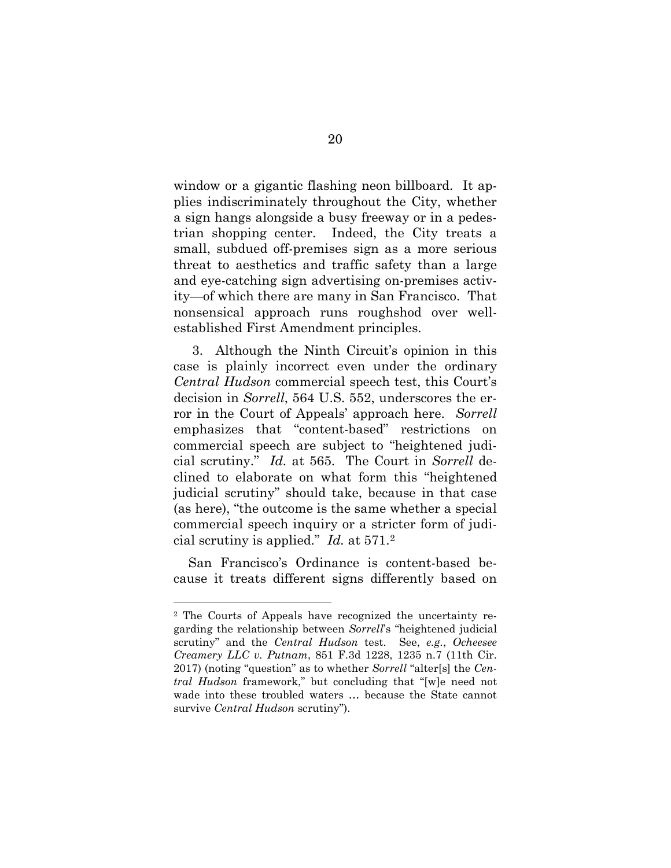window or a gigantic flashing neon billboard. It applies indiscriminately throughout the City, whether a sign hangs alongside a busy freeway or in a pedestrian shopping center. Indeed, the City treats a small, subdued off-premises sign as a more serious threat to aesthetics and traffic safety than a large and eye-catching sign advertising on-premises activity—of which there are many in San Francisco. That nonsensical approach runs roughshod over wellestablished First Amendment principles.

3. Although the Ninth Circuit's opinion in this case is plainly incorrect even under the ordinary *Central Hudson* commercial speech test, this Court's decision in *Sorrell*, 564 U.S. 552, underscores the error in the Court of Appeals' approach here. *Sorrell* emphasizes that "content-based" restrictions on commercial speech are subject to "heightened judicial scrutiny." *Id.* at 565. The Court in *Sorrell* declined to elaborate on what form this "heightened judicial scrutiny" should take, because in that case (as here), "the outcome is the same whether a special commercial speech inquiry or a stricter form of judicial scrutiny is applied." *Id.* at 571.[2](#page-30-0)

San Francisco's Ordinance is content-based because it treats different signs differently based on

<span id="page-30-0"></span><sup>2</sup> The Courts of Appeals have recognized the uncertainty regarding the relationship between *Sorrell*'s "heightened judicial scrutiny" and the *Central Hudson* test. See, *e.g.*, *Ocheesee Creamery LLC v. Putnam*, 851 F.3d 1228, 1235 n.7 (11th Cir. 2017) (noting "question" as to whether *Sorrell* "alter[s] the *Central Hudson* framework," but concluding that "[w]e need not wade into these troubled waters … because the State cannot survive *Central Hudson* scrutiny").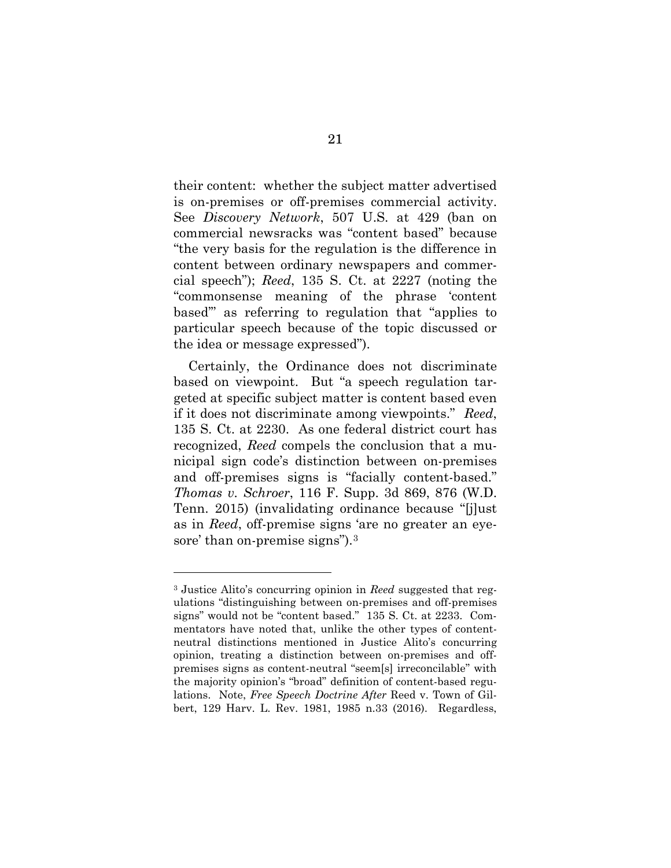their content: whether the subject matter advertised is on-premises or off-premises commercial activity. See *Discovery Network*, 507 U.S. at 429 (ban on commercial newsracks was "content based" because "the very basis for the regulation is the difference in content between ordinary newspapers and commercial speech"); *Reed*, 135 S. Ct. at 2227 (noting the "commonsense meaning of the phrase 'content based'" as referring to regulation that "applies to particular speech because of the topic discussed or the idea or message expressed").

Certainly, the Ordinance does not discriminate based on viewpoint. But "a speech regulation targeted at specific subject matter is content based even if it does not discriminate among viewpoints." *Reed*, 135 S. Ct. at 2230. As one federal district court has recognized, *Reed* compels the conclusion that a municipal sign code's distinction between on-premises and off-premises signs is "facially content-based." *Thomas v. Schroer*, 116 F. Supp. 3d 869, 876 (W.D. Tenn. 2015) (invalidating ordinance because "[j]ust as in *Reed*, off-premise signs 'are no greater an eye-sore' than on-premise signs").<sup>[3](#page-31-0)</sup>

<span id="page-31-0"></span><sup>3</sup> Justice Alito's concurring opinion in *Reed* suggested that regulations "distinguishing between on-premises and off-premises signs" would not be "content based." 135 S. Ct. at 2233. Commentators have noted that, unlike the other types of contentneutral distinctions mentioned in Justice Alito's concurring opinion, treating a distinction between on-premises and offpremises signs as content-neutral "seem[s] irreconcilable" with the majority opinion's "broad" definition of content-based regulations. Note, *Free Speech Doctrine After* Reed v. Town of Gilbert, 129 Harv. L. Rev. 1981, 1985 n.33 (2016). Regardless,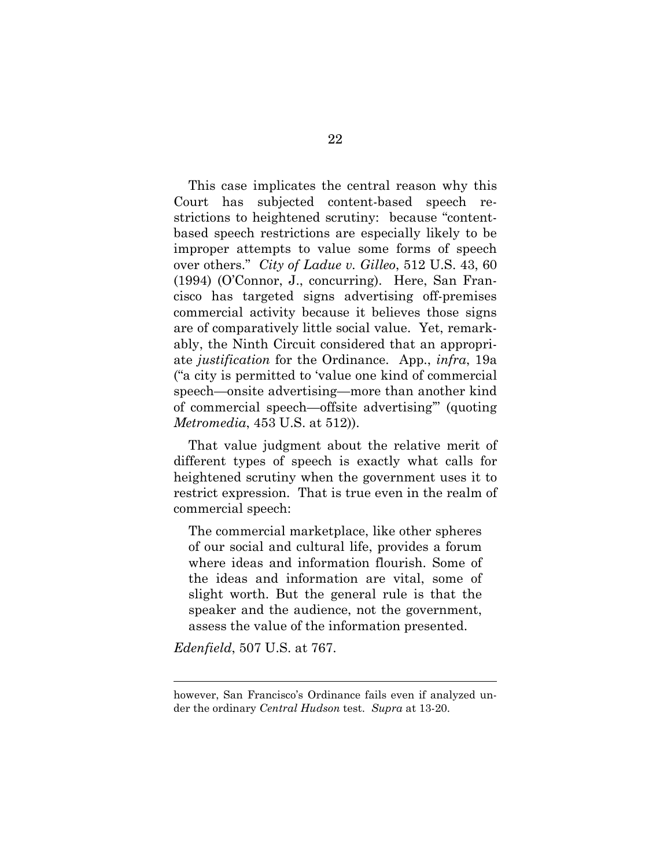This case implicates the central reason why this Court has subjected content-based speech restrictions to heightened scrutiny: because "contentbased speech restrictions are especially likely to be improper attempts to value some forms of speech over others." *City of Ladue v. Gilleo*, 512 U.S. 43, 60 (1994) (O'Connor, J., concurring). Here, San Francisco has targeted signs advertising off-premises commercial activity because it believes those signs are of comparatively little social value. Yet, remarkably, the Ninth Circuit considered that an appropriate *justification* for the Ordinance. App., *infra*, 19a ("a city is permitted to 'value one kind of commercial speech—onsite advertising—more than another kind of commercial speech—offsite advertising'" (quoting *Metromedia*, 453 U.S. at 512)).

That value judgment about the relative merit of different types of speech is exactly what calls for heightened scrutiny when the government uses it to restrict expression. That is true even in the realm of commercial speech:

The commercial marketplace, like other spheres of our social and cultural life, provides a forum where ideas and information flourish. Some of the ideas and information are vital, some of slight worth. But the general rule is that the speaker and the audience, not the government, assess the value of the information presented.

*Edenfield*, 507 U.S. at 767.

however, San Francisco's Ordinance fails even if analyzed under the ordinary *Central Hudson* test. *Supra* at 13-20.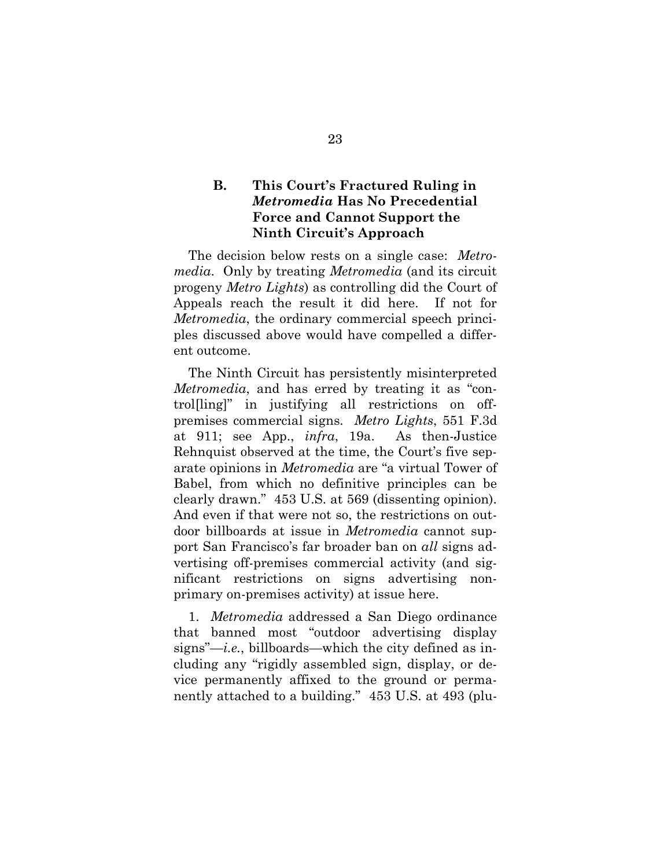### **B. This Court's Fractured Ruling in**  *Metromedia* **Has No Precedential Force and Cannot Support the Ninth Circuit's Approach**

The decision below rests on a single case: *Metromedia*. Only by treating *Metromedia* (and its circuit progeny *Metro Lights*) as controlling did the Court of Appeals reach the result it did here. If not for *Metromedia*, the ordinary commercial speech principles discussed above would have compelled a different outcome.

The Ninth Circuit has persistently misinterpreted *Metromedia*, and has erred by treating it as "control[ling]" in justifying all restrictions on offpremises commercial signs. *Metro Lights*, 551 F.3d at 911; see App., *infra*, 19a. As then-Justice Rehnquist observed at the time, the Court's five separate opinions in *Metromedia* are "a virtual Tower of Babel, from which no definitive principles can be clearly drawn." 453 U.S. at 569 (dissenting opinion). And even if that were not so, the restrictions on outdoor billboards at issue in *Metromedia* cannot support San Francisco's far broader ban on *all* signs advertising off-premises commercial activity (and significant restrictions on signs advertising nonprimary on-premises activity) at issue here.

1. *Metromedia* addressed a San Diego ordinance that banned most "outdoor advertising display signs"—*i.e.*, billboards—which the city defined as including any "rigidly assembled sign, display, or device permanently affixed to the ground or permanently attached to a building." 453 U.S. at 493 (plu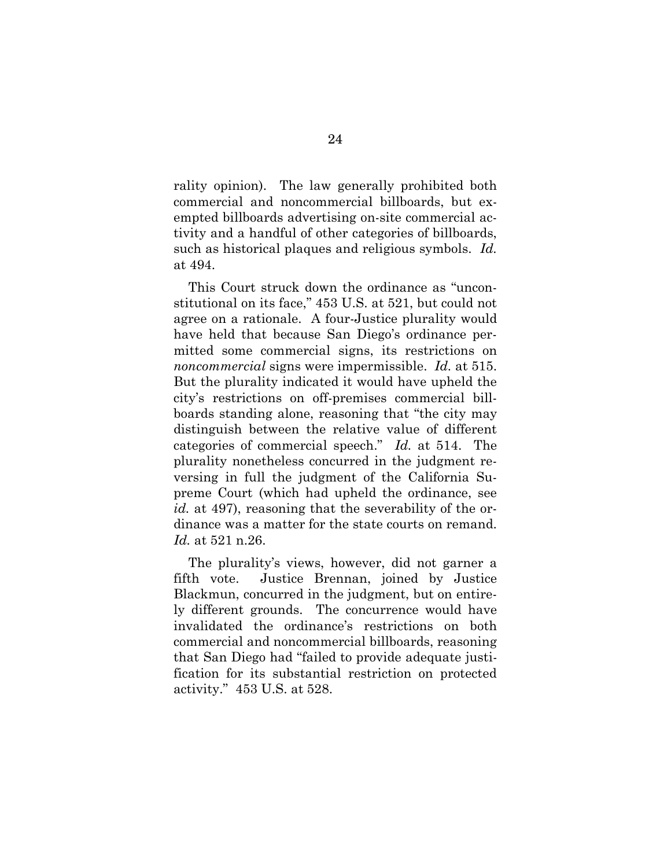rality opinion). The law generally prohibited both commercial and noncommercial billboards, but exempted billboards advertising on-site commercial activity and a handful of other categories of billboards, such as historical plaques and religious symbols. *Id.* at 494.

This Court struck down the ordinance as "unconstitutional on its face," 453 U.S. at 521, but could not agree on a rationale. A four-Justice plurality would have held that because San Diego's ordinance permitted some commercial signs, its restrictions on *noncommercial* signs were impermissible. *Id.* at 515. But the plurality indicated it would have upheld the city's restrictions on off-premises commercial billboards standing alone, reasoning that "the city may distinguish between the relative value of different categories of commercial speech." *Id.* at 514. The plurality nonetheless concurred in the judgment reversing in full the judgment of the California Supreme Court (which had upheld the ordinance, see *id.* at 497), reasoning that the severability of the ordinance was a matter for the state courts on remand. *Id.* at 521 n.26.

The plurality's views, however, did not garner a fifth vote. Justice Brennan, joined by Justice Blackmun, concurred in the judgment, but on entirely different grounds. The concurrence would have invalidated the ordinance's restrictions on both commercial and noncommercial billboards, reasoning that San Diego had "failed to provide adequate justification for its substantial restriction on protected activity." 453 U.S. at 528.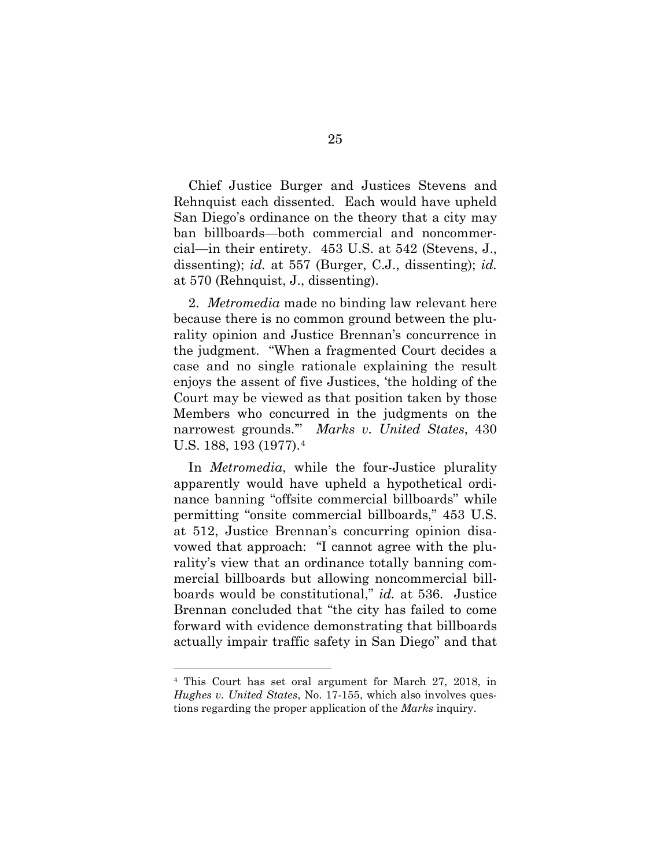Chief Justice Burger and Justices Stevens and Rehnquist each dissented. Each would have upheld San Diego's ordinance on the theory that a city may ban billboards—both commercial and noncommercial—in their entirety. 453 U.S. at 542 (Stevens, J., dissenting); *id.* at 557 (Burger, C.J., dissenting); *id.* at 570 (Rehnquist, J., dissenting).

2. *Metromedia* made no binding law relevant here because there is no common ground between the plurality opinion and Justice Brennan's concurrence in the judgment. "When a fragmented Court decides a case and no single rationale explaining the result enjoys the assent of five Justices, 'the holding of the Court may be viewed as that position taken by those Members who concurred in the judgments on the narrowest grounds.'" *Marks v. United States*, 430 U.S. 188, 193 (1977).[4](#page-35-0)

In *Metromedia*, while the four-Justice plurality apparently would have upheld a hypothetical ordinance banning "offsite commercial billboards" while permitting "onsite commercial billboards," 453 U.S. at 512, Justice Brennan's concurring opinion disavowed that approach: "I cannot agree with the plurality's view that an ordinance totally banning commercial billboards but allowing noncommercial billboards would be constitutional," *id.* at 536. Justice Brennan concluded that "the city has failed to come forward with evidence demonstrating that billboards actually impair traffic safety in San Diego" and that

<span id="page-35-0"></span><sup>4</sup> This Court has set oral argument for March 27, 2018, in *Hughes v. United States*, No. 17-155, which also involves questions regarding the proper application of the *Marks* inquiry.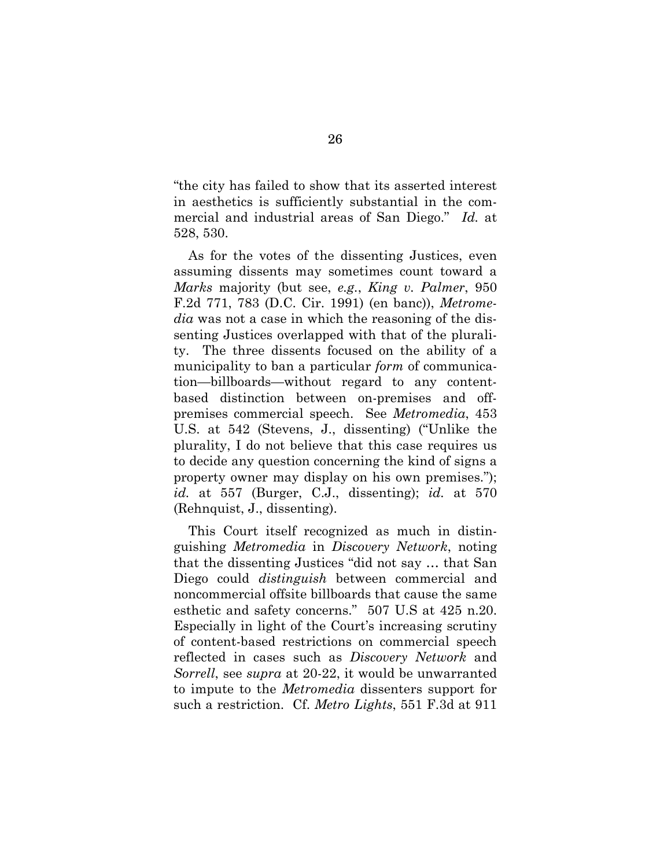"the city has failed to show that its asserted interest in aesthetics is sufficiently substantial in the commercial and industrial areas of San Diego." *Id.* at 528, 530.

As for the votes of the dissenting Justices, even assuming dissents may sometimes count toward a *Marks* majority (but see, *e.g.*, *King v. Palmer*, 950 F.2d 771, 783 (D.C. Cir. 1991) (en banc)), *Metromedia* was not a case in which the reasoning of the dissenting Justices overlapped with that of the plurality. The three dissents focused on the ability of a municipality to ban a particular *form* of communication—billboards—without regard to any contentbased distinction between on-premises and offpremises commercial speech. See *Metromedia*, 453 U.S. at 542 (Stevens, J., dissenting) ("Unlike the plurality, I do not believe that this case requires us to decide any question concerning the kind of signs a property owner may display on his own premises."); *id.* at 557 (Burger, C.J., dissenting); *id.* at 570 (Rehnquist, J., dissenting).

This Court itself recognized as much in distinguishing *Metromedia* in *Discovery Network*, noting that the dissenting Justices "did not say … that San Diego could *distinguish* between commercial and noncommercial offsite billboards that cause the same esthetic and safety concerns." 507 U.S at 425 n.20. Especially in light of the Court's increasing scrutiny of content-based restrictions on commercial speech reflected in cases such as *Discovery Network* and *Sorrell*, see *supra* at 20-22, it would be unwarranted to impute to the *Metromedia* dissenters support for such a restriction. Cf. *Metro Lights*, 551 F.3d at 911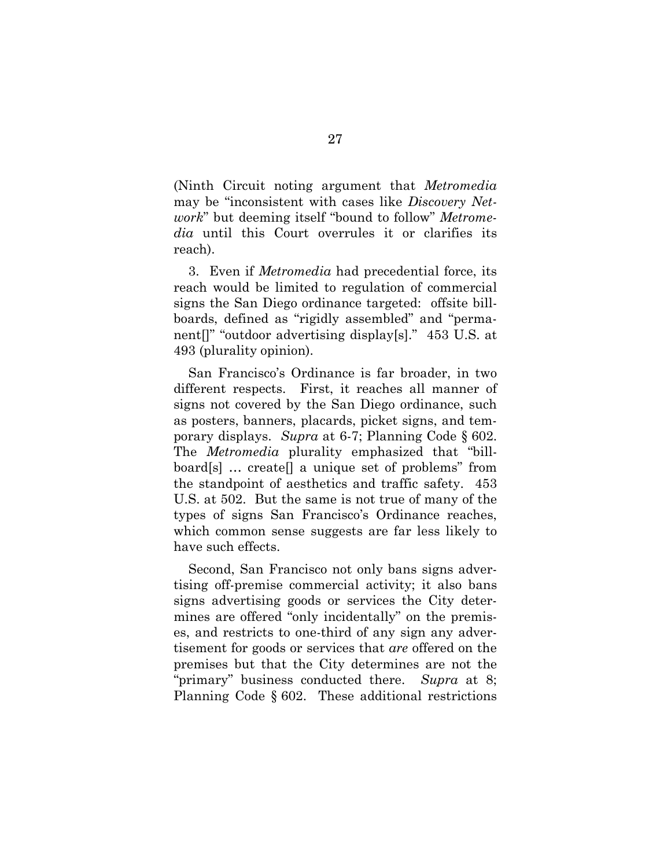(Ninth Circuit noting argument that *Metromedia* may be "inconsistent with cases like *Discovery Network*" but deeming itself "bound to follow" *Metromedia* until this Court overrules it or clarifies its reach).

3. Even if *Metromedia* had precedential force, its reach would be limited to regulation of commercial signs the San Diego ordinance targeted: offsite billboards, defined as "rigidly assembled" and "permanent[]" "outdoor advertising display[s]." 453 U.S. at 493 (plurality opinion).

San Francisco's Ordinance is far broader, in two different respects. First, it reaches all manner of signs not covered by the San Diego ordinance, such as posters, banners, placards, picket signs, and temporary displays. *Supra* at 6-7; Planning Code § 602. The *Metromedia* plurality emphasized that "billboard[s] … create[] a unique set of problems" from the standpoint of aesthetics and traffic safety. 453 U.S. at 502. But the same is not true of many of the types of signs San Francisco's Ordinance reaches, which common sense suggests are far less likely to have such effects.

Second, San Francisco not only bans signs advertising off-premise commercial activity; it also bans signs advertising goods or services the City determines are offered "only incidentally" on the premises, and restricts to one-third of any sign any advertisement for goods or services that *are* offered on the premises but that the City determines are not the "primary" business conducted there. *Supra* at 8; Planning Code § 602. These additional restrictions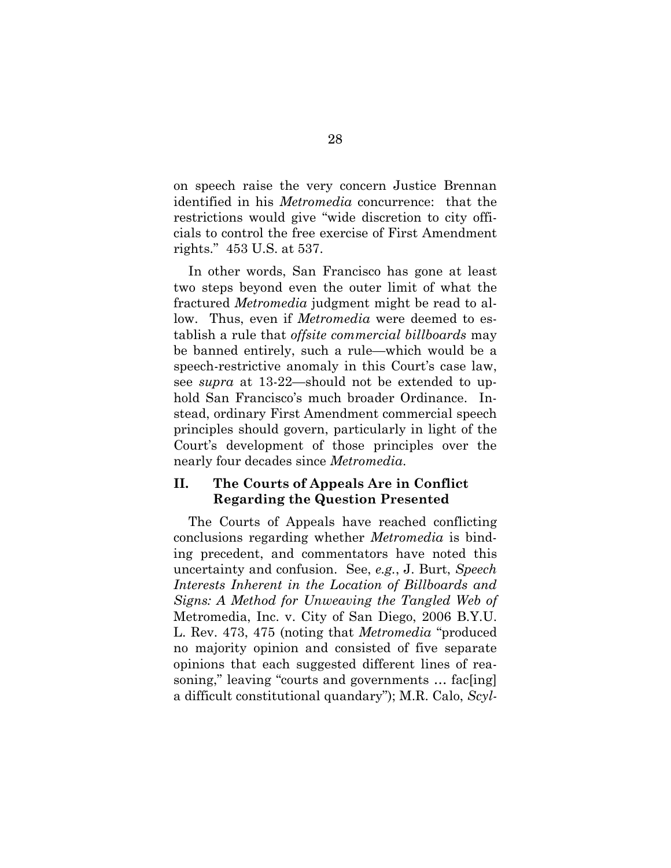on speech raise the very concern Justice Brennan identified in his *Metromedia* concurrence: that the restrictions would give "wide discretion to city officials to control the free exercise of First Amendment rights." 453 U.S. at 537.

In other words, San Francisco has gone at least two steps beyond even the outer limit of what the fractured *Metromedia* judgment might be read to allow. Thus, even if *Metromedia* were deemed to establish a rule that *offsite commercial billboards* may be banned entirely, such a rule—which would be a speech-restrictive anomaly in this Court's case law, see *supra* at 13-22—should not be extended to uphold San Francisco's much broader Ordinance. Instead, ordinary First Amendment commercial speech principles should govern, particularly in light of the Court's development of those principles over the nearly four decades since *Metromedia*.

### **II. The Courts of Appeals Are in Conflict Regarding the Question Presented**

The Courts of Appeals have reached conflicting conclusions regarding whether *Metromedia* is binding precedent, and commentators have noted this uncertainty and confusion. See, *e.g.*, J. Burt, *Speech Interests Inherent in the Location of Billboards and Signs: A Method for Unweaving the Tangled Web of*  Metromedia, Inc. v. City of San Diego, 2006 B.Y.U. L. Rev. 473, 475 (noting that *Metromedia* "produced no majority opinion and consisted of five separate opinions that each suggested different lines of reasoning," leaving "courts and governments … fac[ing] a difficult constitutional quandary"); M.R. Calo, *Scyl-*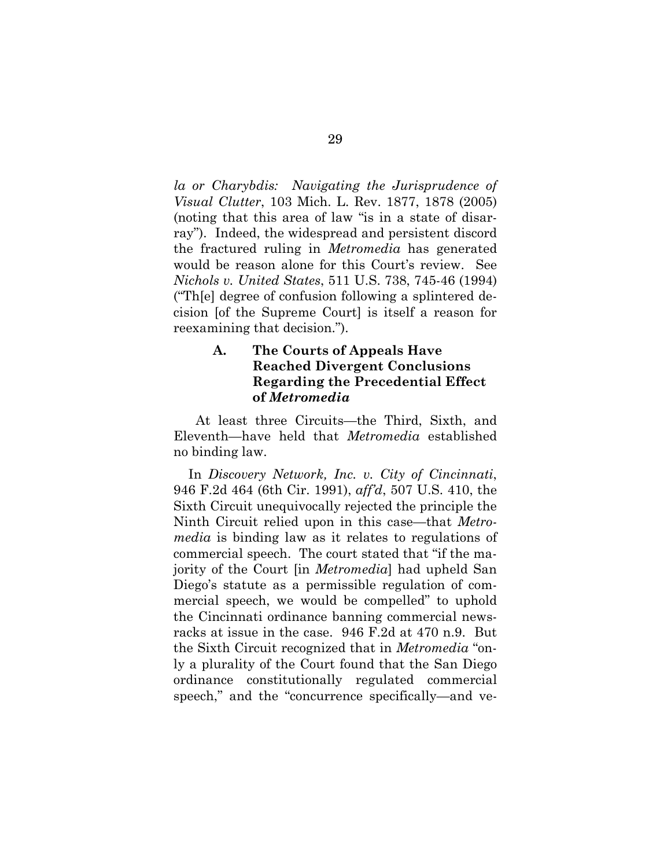*la or Charybdis: Navigating the Jurisprudence of Visual Clutter*, 103 Mich. L. Rev. 1877, 1878 (2005) (noting that this area of law "is in a state of disarray"). Indeed, the widespread and persistent discord the fractured ruling in *Metromedia* has generated would be reason alone for this Court's review. See *Nichols v. United States*, 511 U.S. 738, 745-46 (1994) ("Th[e] degree of confusion following a splintered decision [of the Supreme Court] is itself a reason for reexamining that decision.").

## **A. The Courts of Appeals Have Reached Divergent Conclusions Regarding the Precedential Effect of** *Metromedia*

 At least three Circuits—the Third, Sixth, and Eleventh—have held that *Metromedia* established no binding law.

In *Discovery Network, Inc. v. City of Cincinnati*, 946 F.2d 464 (6th Cir. 1991), *aff'd*, 507 U.S. 410, the Sixth Circuit unequivocally rejected the principle the Ninth Circuit relied upon in this case—that *Metromedia* is binding law as it relates to regulations of commercial speech. The court stated that "if the majority of the Court [in *Metromedia*] had upheld San Diego's statute as a permissible regulation of commercial speech, we would be compelled" to uphold the Cincinnati ordinance banning commercial newsracks at issue in the case. 946 F.2d at 470 n.9. But the Sixth Circuit recognized that in *Metromedia* "only a plurality of the Court found that the San Diego ordinance constitutionally regulated commercial speech," and the "concurrence specifically—and ve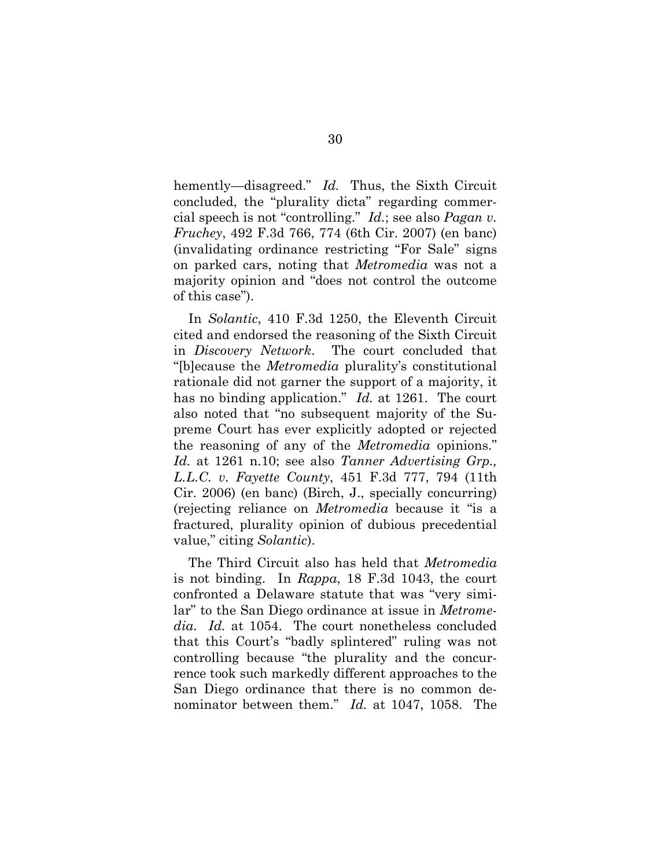hemently—disagreed." *Id.* Thus, the Sixth Circuit concluded, the "plurality dicta" regarding commercial speech is not "controlling." *Id.*; see also *Pagan v. Fruchey*, 492 F.3d 766, 774 (6th Cir. 2007) (en banc) (invalidating ordinance restricting "For Sale" signs on parked cars, noting that *Metromedia* was not a majority opinion and "does not control the outcome of this case").

In *Solantic*, 410 F.3d 1250, the Eleventh Circuit cited and endorsed the reasoning of the Sixth Circuit in *Discovery Network*. The court concluded that "[b]ecause the *Metromedia* plurality's constitutional rationale did not garner the support of a majority, it has no binding application." *Id.* at 1261. The court also noted that "no subsequent majority of the Supreme Court has ever explicitly adopted or rejected the reasoning of any of the *Metromedia* opinions." *Id.* at 1261 n.10; see also *Tanner Advertising Grp., L.L.C. v. Fayette County*, 451 F.3d 777, 794 (11th Cir. 2006) (en banc) (Birch, J., specially concurring) (rejecting reliance on *Metromedia* because it "is a fractured, plurality opinion of dubious precedential value," citing *Solantic*).

The Third Circuit also has held that *Metromedia* is not binding. In *Rappa*, 18 F.3d 1043, the court confronted a Delaware statute that was "very similar" to the San Diego ordinance at issue in *Metromedia*. *Id.* at 1054. The court nonetheless concluded that this Court's "badly splintered" ruling was not controlling because "the plurality and the concurrence took such markedly different approaches to the San Diego ordinance that there is no common denominator between them." *Id.* at 1047, 1058. The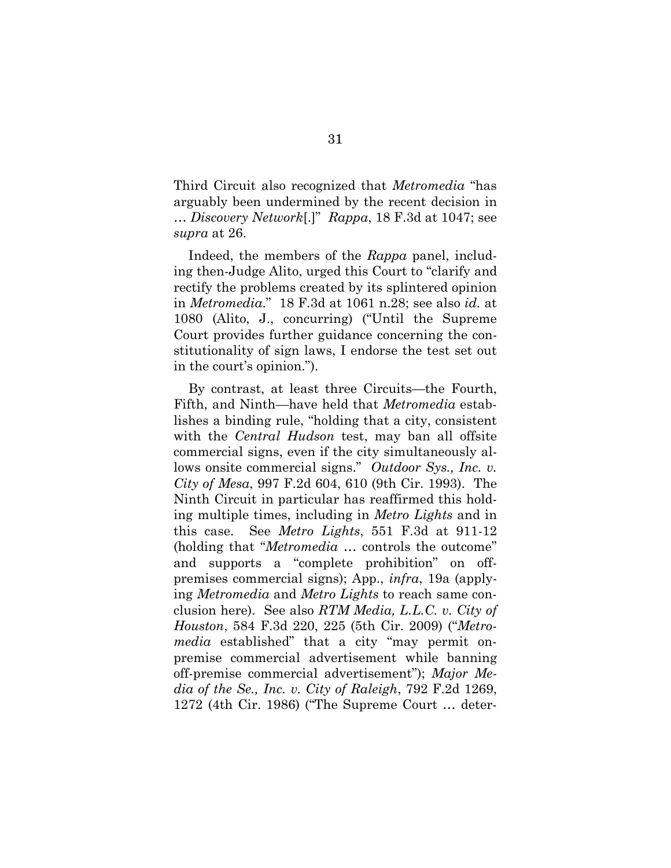Third Circuit also recognized that *Metromedia* "has arguably been undermined by the recent decision in … *Discovery Network*[.]" *Rappa*, 18 F.3d at 1047; see *supra* at 26.

Indeed, the members of the *Rappa* panel, including then-Judge Alito, urged this Court to "clarify and rectify the problems created by its splintered opinion in *Metromedia*." 18 F.3d at 1061 n.28; see also *id.* at 1080 (Alito, J., concurring) ("Until the Supreme Court provides further guidance concerning the constitutionality of sign laws, I endorse the test set out in the court's opinion.").

By contrast, at least three Circuits—the Fourth, Fifth, and Ninth—have held that *Metromedia* establishes a binding rule, "holding that a city, consistent with the *Central Hudson* test, may ban all offsite commercial signs, even if the city simultaneously allows onsite commercial signs." *Outdoor Sys., Inc. v. City of Mesa*, 997 F.2d 604, 610 (9th Cir. 1993). The Ninth Circuit in particular has reaffirmed this holding multiple times, including in *Metro Lights* and in this case. See *Metro Lights*, 551 F.3d at 911-12 (holding that "*Metromedia* … controls the outcome" and supports a "complete prohibition" on offpremises commercial signs); App., *infra*, 19a (applying *Metromedia* and *Metro Lights* to reach same conclusion here). See also *RTM Media, L.L.C. v. City of Houston*, 584 F.3d 220, 225 (5th Cir. 2009) ("*Metromedia* established" that a city "may permit onpremise commercial advertisement while banning off-premise commercial advertisement"); *Major Media of the Se., Inc. v. City of Raleigh*, 792 F.2d 1269, 1272 (4th Cir. 1986) ("The Supreme Court … deter-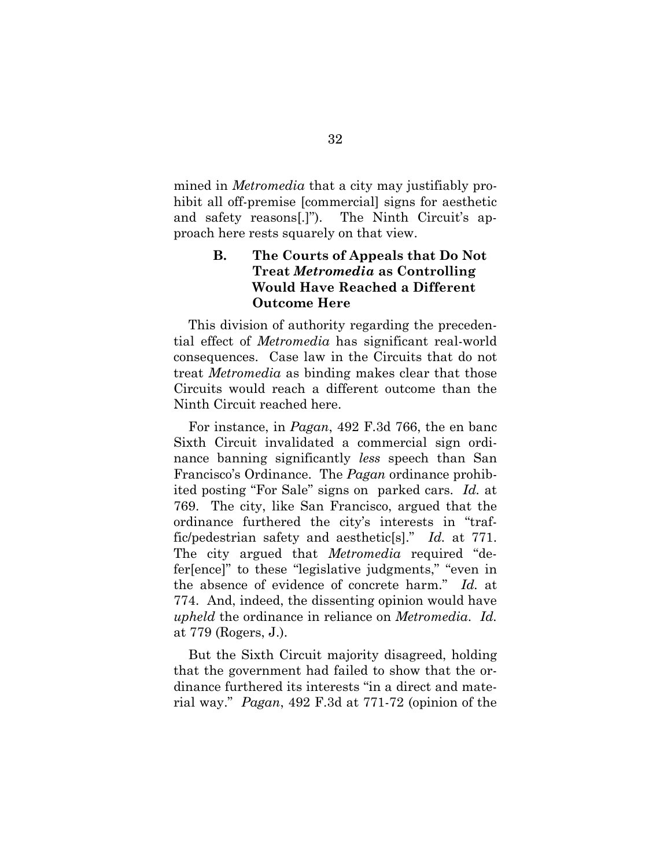mined in *Metromedia* that a city may justifiably prohibit all off-premise [commercial] signs for aesthetic and safety reasons[.]"). The Ninth Circuit's approach here rests squarely on that view.

# **B. The Courts of Appeals that Do Not Treat** *Metromedia* **as Controlling Would Have Reached a Different Outcome Here**

This division of authority regarding the precedential effect of *Metromedia* has significant real-world consequences. Case law in the Circuits that do not treat *Metromedia* as binding makes clear that those Circuits would reach a different outcome than the Ninth Circuit reached here.

For instance, in *Pagan*, 492 F.3d 766, the en banc Sixth Circuit invalidated a commercial sign ordinance banning significantly *less* speech than San Francisco's Ordinance. The *Pagan* ordinance prohibited posting "For Sale" signs on parked cars. *Id.* at 769. The city, like San Francisco, argued that the ordinance furthered the city's interests in "traffic/pedestrian safety and aesthetic[s]." *Id.* at 771. The city argued that *Metromedia* required "defer[ence]" to these "legislative judgments," "even in the absence of evidence of concrete harm." *Id.* at 774. And, indeed, the dissenting opinion would have *upheld* the ordinance in reliance on *Metromedia*. *Id.* at 779 (Rogers, J.).

But the Sixth Circuit majority disagreed, holding that the government had failed to show that the ordinance furthered its interests "in a direct and material way." *Pagan*, 492 F.3d at 771-72 (opinion of the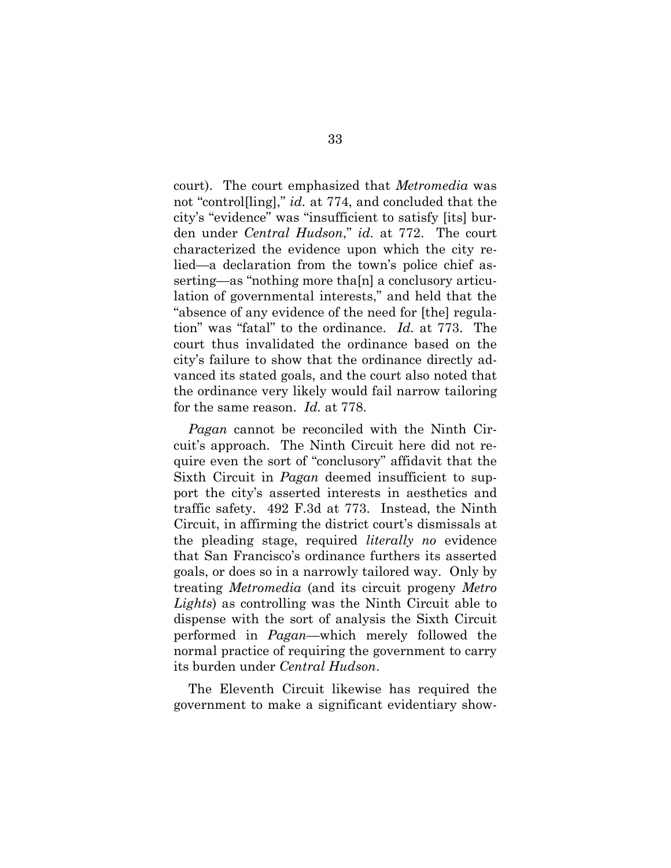court). The court emphasized that *Metromedia* was not "control[ling]," *id.* at 774, and concluded that the city's "evidence" was "insufficient to satisfy [its] burden under *Central Hudson*," *id.* at 772. The court characterized the evidence upon which the city relied—a declaration from the town's police chief asserting—as "nothing more tha[n] a conclusory articulation of governmental interests," and held that the "absence of any evidence of the need for [the] regulation" was "fatal" to the ordinance. *Id.* at 773. The court thus invalidated the ordinance based on the city's failure to show that the ordinance directly advanced its stated goals, and the court also noted that the ordinance very likely would fail narrow tailoring for the same reason. *Id.* at 778.

*Pagan* cannot be reconciled with the Ninth Circuit's approach. The Ninth Circuit here did not require even the sort of "conclusory" affidavit that the Sixth Circuit in *Pagan* deemed insufficient to support the city's asserted interests in aesthetics and traffic safety. 492 F.3d at 773. Instead, the Ninth Circuit, in affirming the district court's dismissals at the pleading stage, required *literally no* evidence that San Francisco's ordinance furthers its asserted goals, or does so in a narrowly tailored way. Only by treating *Metromedia* (and its circuit progeny *Metro Lights*) as controlling was the Ninth Circuit able to dispense with the sort of analysis the Sixth Circuit performed in *Pagan*—which merely followed the normal practice of requiring the government to carry its burden under *Central Hudson*.

The Eleventh Circuit likewise has required the government to make a significant evidentiary show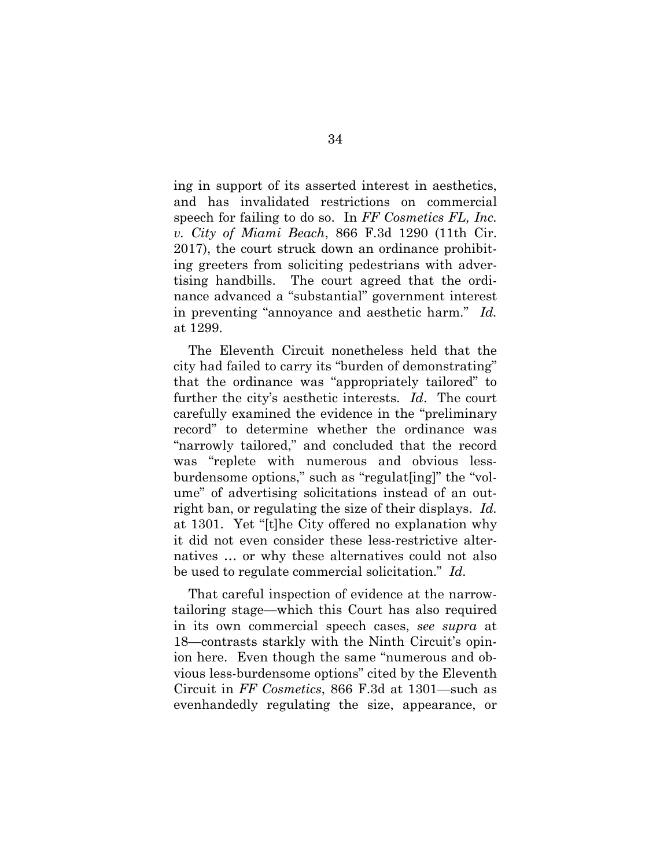ing in support of its asserted interest in aesthetics, and has invalidated restrictions on commercial speech for failing to do so. In *FF Cosmetics FL, Inc. v. City of Miami Beach*, 866 F.3d 1290 (11th Cir. 2017), the court struck down an ordinance prohibiting greeters from soliciting pedestrians with advertising handbills. The court agreed that the ordinance advanced a "substantial" government interest in preventing "annoyance and aesthetic harm." *Id.* at 1299.

The Eleventh Circuit nonetheless held that the city had failed to carry its "burden of demonstrating" that the ordinance was "appropriately tailored" to further the city's aesthetic interests. *Id*. The court carefully examined the evidence in the "preliminary record" to determine whether the ordinance was "narrowly tailored," and concluded that the record was "replete with numerous and obvious lessburdensome options," such as "regulat[ing]" the "volume" of advertising solicitations instead of an outright ban, or regulating the size of their displays. *Id.* at 1301. Yet "[t]he City offered no explanation why it did not even consider these less-restrictive alternatives … or why these alternatives could not also be used to regulate commercial solicitation." *Id.*

That careful inspection of evidence at the narrowtailoring stage—which this Court has also required in its own commercial speech cases, *see supra* at 18—contrasts starkly with the Ninth Circuit's opinion here. Even though the same "numerous and obvious less-burdensome options" cited by the Eleventh Circuit in *FF Cosmetics*, 866 F.3d at 1301—such as evenhandedly regulating the size, appearance, or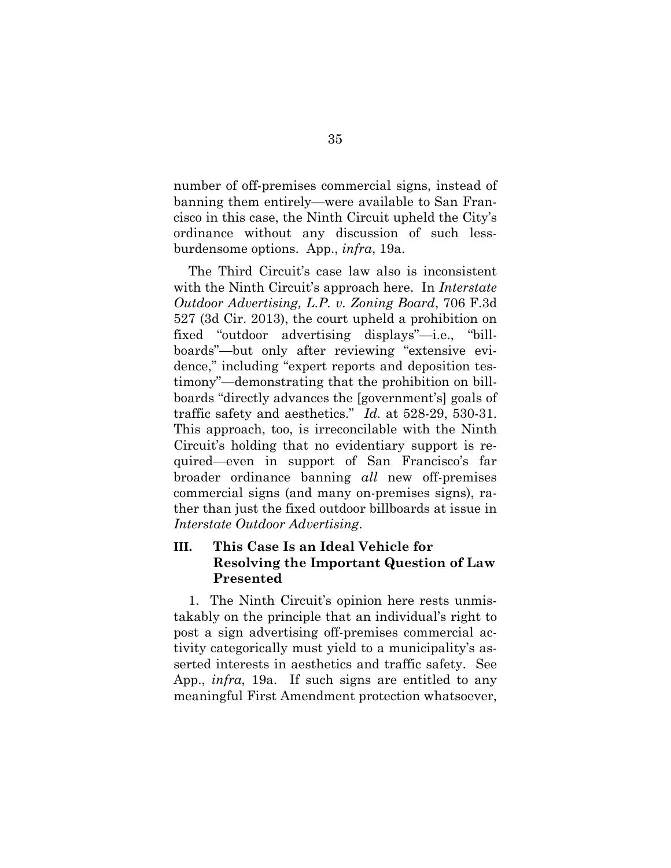number of off-premises commercial signs, instead of banning them entirely—were available to San Francisco in this case, the Ninth Circuit upheld the City's ordinance without any discussion of such lessburdensome options. App., *infra*, 19a.

The Third Circuit's case law also is inconsistent with the Ninth Circuit's approach here. In *Interstate Outdoor Advertising, L.P. v. Zoning Board*, 706 F.3d 527 (3d Cir. 2013), the court upheld a prohibition on fixed "outdoor advertising displays"—i.e., "billboards"—but only after reviewing "extensive evidence," including "expert reports and deposition testimony"—demonstrating that the prohibition on billboards "directly advances the [government's] goals of traffic safety and aesthetics." *Id.* at 528-29, 530-31. This approach, too, is irreconcilable with the Ninth Circuit's holding that no evidentiary support is required—even in support of San Francisco's far broader ordinance banning *all* new off-premises commercial signs (and many on-premises signs), rather than just the fixed outdoor billboards at issue in *Interstate Outdoor Advertising*.

# **III. This Case Is an Ideal Vehicle for Resolving the Important Question of Law Presented**

1. The Ninth Circuit's opinion here rests unmistakably on the principle that an individual's right to post a sign advertising off-premises commercial activity categorically must yield to a municipality's asserted interests in aesthetics and traffic safety. See App., *infra*, 19a. If such signs are entitled to any meaningful First Amendment protection whatsoever,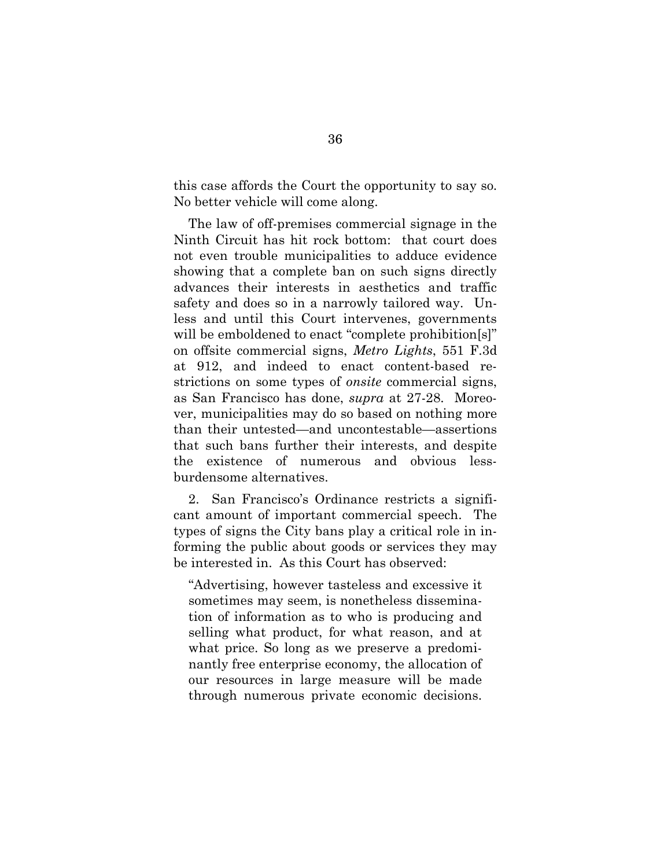this case affords the Court the opportunity to say so. No better vehicle will come along.

The law of off-premises commercial signage in the Ninth Circuit has hit rock bottom: that court does not even trouble municipalities to adduce evidence showing that a complete ban on such signs directly advances their interests in aesthetics and traffic safety and does so in a narrowly tailored way. Unless and until this Court intervenes, governments will be emboldened to enact "complete prohibition[s]" on offsite commercial signs, *Metro Lights*, 551 F.3d at 912, and indeed to enact content-based restrictions on some types of *onsite* commercial signs, as San Francisco has done, *supra* at 27-28. Moreover, municipalities may do so based on nothing more than their untested—and uncontestable—assertions that such bans further their interests, and despite the existence of numerous and obvious lessburdensome alternatives.

2. San Francisco's Ordinance restricts a significant amount of important commercial speech. The types of signs the City bans play a critical role in informing the public about goods or services they may be interested in. As this Court has observed:

"Advertising, however tasteless and excessive it sometimes may seem, is nonetheless dissemination of information as to who is producing and selling what product, for what reason, and at what price. So long as we preserve a predominantly free enterprise economy, the allocation of our resources in large measure will be made through numerous private economic decisions.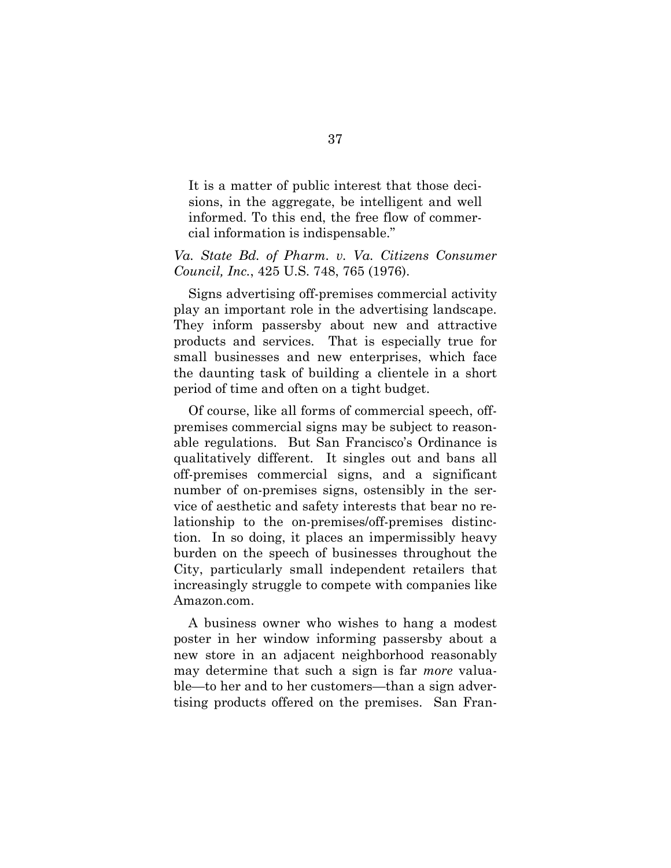It is a matter of public interest that those decisions, in the aggregate, be intelligent and well informed. To this end, the free flow of commercial information is indispensable."

### *Va. State Bd. of Pharm. v. Va. Citizens Consumer Council, Inc.*, 425 U.S. 748, 765 (1976).

Signs advertising off-premises commercial activity play an important role in the advertising landscape. They inform passersby about new and attractive products and services. That is especially true for small businesses and new enterprises, which face the daunting task of building a clientele in a short period of time and often on a tight budget.

Of course, like all forms of commercial speech, offpremises commercial signs may be subject to reasonable regulations. But San Francisco's Ordinance is qualitatively different. It singles out and bans all off-premises commercial signs, and a significant number of on-premises signs, ostensibly in the service of aesthetic and safety interests that bear no relationship to the on-premises/off-premises distinction. In so doing, it places an impermissibly heavy burden on the speech of businesses throughout the City, particularly small independent retailers that increasingly struggle to compete with companies like Amazon.com.

A business owner who wishes to hang a modest poster in her window informing passersby about a new store in an adjacent neighborhood reasonably may determine that such a sign is far *more* valuable—to her and to her customers—than a sign advertising products offered on the premises. San Fran